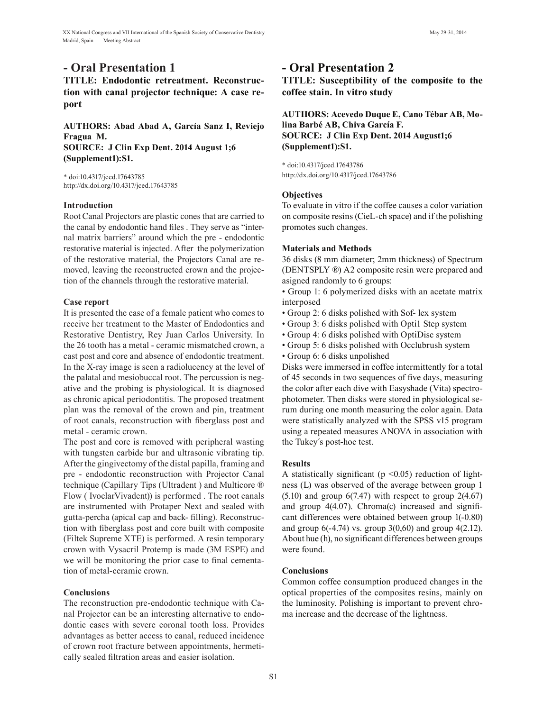## **- Oral Presentation 1**

**TITLE: Endodontic retreatment. Reconstruction with canal projector technique: A case report**

**AUTHORS: Abad Abad A, García Sanz I, Reviejo Fragua M. SOURCE: J Clin Exp Dent. 2014 August 1;6 (Supplement1):S1.**

\* doi:10.4317/jced.17643785 http://dx.doi.org/10.4317/jced.17643785

### **Introduction**

Root Canal Projectors are plastic cones that are carried to the canal by endodontic hand files . They serve as "internal matrix barriers" around which the pre - endodontic restorative material is injected. After the polymerization of the restorative material, the Projectors Canal are removed, leaving the reconstructed crown and the projection of the channels through the restorative material.

### **Case report**

It is presented the case of a female patient who comes to receive her treatment to the Master of Endodontics and Restorative Dentistry, Rey Juan Carlos University. In the 26 tooth has a metal - ceramic mismatched crown, a cast post and core and absence of endodontic treatment. In the X-ray image is seen a radiolucency at the level of the palatal and mesiobuccal root. The percussion is negative and the probing is physiological. It is diagnosed as chronic apical periodontitis. The proposed treatment plan was the removal of the crown and pin, treatment of root canals, reconstruction with fiberglass post and metal - ceramic crown.

The post and core is removed with peripheral wasting with tungsten carbide bur and ultrasonic vibrating tip. After the gingivectomy of the distal papilla, framing and pre - endodontic reconstruction with Projector Canal technique (Capillary Tips (Ultradent ) and Multicore ® Flow ( IvoclarVivadent)) is performed . The root canals are instrumented with Protaper Next and sealed with gutta-percha (apical cap and back- filling). Reconstruction with fiberglass post and core built with composite (Filtek Supreme XTE) is performed. A resin temporary crown with Vysacril Protemp is made (3M ESPE) and we will be monitoring the prior case to final cementation of metal-ceramic crown.

#### **Conclusions**

The reconstruction pre-endodontic technique with Canal Projector can be an interesting alternative to endodontic cases with severe coronal tooth loss. Provides advantages as better access to canal, reduced incidence of crown root fracture between appointments, hermetically sealed filtration areas and easier isolation.

## **- Oral Presentation 2**

**TITLE: Susceptibility of the composite to the coffee stain. In vitro study**

## **AUTHORS: Acevedo Duque E, Cano Tébar AB, Molina Barbé AB, Chiva García F. SOURCE: J Clin Exp Dent. 2014 August1;6 (Supplement1):S1.**

\* doi:10.4317/jced.17643786 http://dx.doi.org/10.4317/jced.17643786

## **Objectives**

To evaluate in vitro if the coffee causes a color variation on composite resins (CieL-ch space) and if the polishing promotes such changes.

### **Materials and Methods**

36 disks (8 mm diameter; 2mm thickness) of Spectrum (DENTSPLY ®) A2 composite resin were prepared and asigned randomly to 6 groups:

• Group 1: 6 polymerized disks with an acetate matrix interposed

- Group 2: 6 disks polished with Sof- lex system
- Group 3: 6 disks polished with Optil Step system
- Group 4: 6 disks polished with OptiDisc system
- Group 5: 6 disks polished with Occlubrush system • Group 6: 6 disks unpolished

Disks were immersed in coffee intermittently for a total of 45 seconds in two sequences of five days, measuring the color after each dive with Easyshade (Vita) spectrophotometer. Then disks were stored in physiological serum during one month measuring the color again. Data were statistically analyzed with the SPSS v15 program using a repeated measures ANOVA in association with the Tukey´s post-hoc test.

#### **Results**

A statistically significant ( $p \le 0.05$ ) reduction of lightness (L) was observed of the average between group 1  $(5.10)$  and group  $6(7.47)$  with respect to group  $2(4.67)$ and group 4(4.07). Chroma(c) increased and significant differences were obtained between group 1(-0.80) and group  $6(-4.74)$  vs. group  $3(0,60)$  and group  $4(2.12)$ . About hue (h), no significant differences between groups were found.

## **Conclusions**

Common coffee consumption produced changes in the optical properties of the composites resins, mainly on the luminosity. Polishing is important to prevent chroma increase and the decrease of the lightness.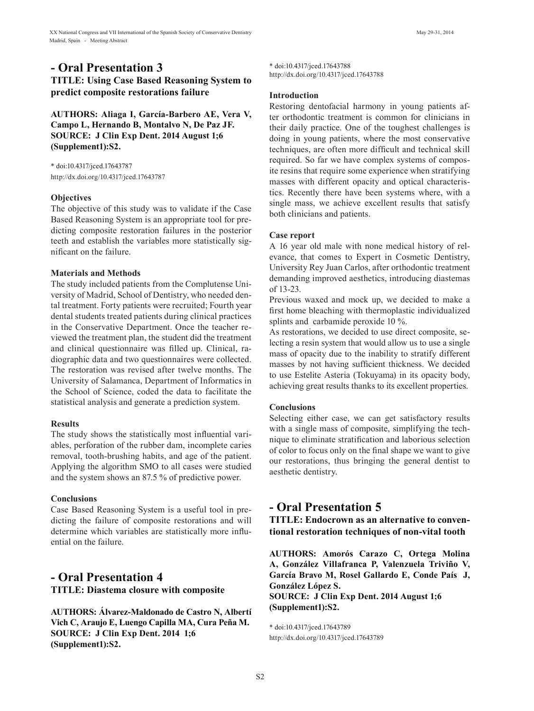## **- Oral Presentation 3**

**TITLE: Using Case Based Reasoning System to predict composite restorations failure**

**AUTHORS: Aliaga I, García-Barbero AE, Vera V, Campo L, Hernando B, Montalvo N, De Paz JF. SOURCE: J Clin Exp Dent. 2014 August 1;6 (Supplement1):S2.**

\* doi:10.4317/jced.17643787 http://dx.doi.org/10.4317/jced.17643787

#### **Objectives**

The objective of this study was to validate if the Case Based Reasoning System is an appropriate tool for predicting composite restoration failures in the posterior teeth and establish the variables more statistically significant on the failure.

#### **Materials and Methods**

The study included patients from the Complutense University of Madrid, School of Dentistry, who needed dental treatment. Forty patients were recruited; Fourth year dental students treated patients during clinical practices in the Conservative Department. Once the teacher reviewed the treatment plan, the student did the treatment and clinical questionnaire was filled up. Clinical, radiographic data and two questionnaires were collected. The restoration was revised after twelve months. The University of Salamanca, Department of Informatics in the School of Science, coded the data to facilitate the statistical analysis and generate a prediction system.

#### **Results**

The study shows the statistically most influential variables, perforation of the rubber dam, incomplete caries removal, tooth-brushing habits, and age of the patient. Applying the algorithm SMO to all cases were studied and the system shows an 87.5 % of predictive power.

#### **Conclusions**

Case Based Reasoning System is a useful tool in predicting the failure of composite restorations and will determine which variables are statistically more influential on the failure.

## **- Oral Presentation 4 TITLE: Diastema closure with composite**

**AUTHORS: Álvarez-Maldonado de Castro N, Albertí Vich C, Araujo E, Luengo Capilla MA, Cura Peña M. SOURCE: J Clin Exp Dent. 2014 1;6 (Supplement1):S2.**

\* doi:10.4317/jced.17643788 http://dx.doi.org/10.4317/jced.17643788

#### **Introduction**

Restoring dentofacial harmony in young patients after orthodontic treatment is common for clinicians in their daily practice. One of the toughest challenges is doing in young patients, where the most conservative techniques, are often more difficult and technical skill required. So far we have complex systems of composite resins that require some experience when stratifying masses with different opacity and optical characteristics. Recently there have been systems where, with a single mass, we achieve excellent results that satisfy both clinicians and patients.

#### **Case report**

A 16 year old male with none medical history of relevance, that comes to Expert in Cosmetic Dentistry, University Rey Juan Carlos, after orthodontic treatment demanding improved aesthetics, introducing diastemas of 13-23.

Previous waxed and mock up, we decided to make a first home bleaching with thermoplastic individualized splints and carbamide peroxide 10 %.

As restorations, we decided to use direct composite, selecting a resin system that would allow us to use a single mass of opacity due to the inability to stratify different masses by not having sufficient thickness. We decided to use Estelite Asteria (Tokuyama) in its opacity body, achieving great results thanks to its excellent properties.

#### **Conclusions**

Selecting either case, we can get satisfactory results with a single mass of composite, simplifying the technique to eliminate stratification and laborious selection of color to focus only on the final shape we want to give our restorations, thus bringing the general dentist to aesthetic dentistry.

## **- Oral Presentation 5**

**TITLE: Endocrown as an alternative to conventional restoration techniques of non-vital tooth**

**AUTHORS: Amorós Carazo C, Ortega Molina A, González Villafranca P, Valenzuela Triviño V, García Bravo M, Rosel Gallardo E, Conde País J, González López S.** 

**SOURCE: J Clin Exp Dent. 2014 August 1;6 (Supplement1):S2.**

\* doi:10.4317/jced.17643789 http://dx.doi.org/10.4317/jced.17643789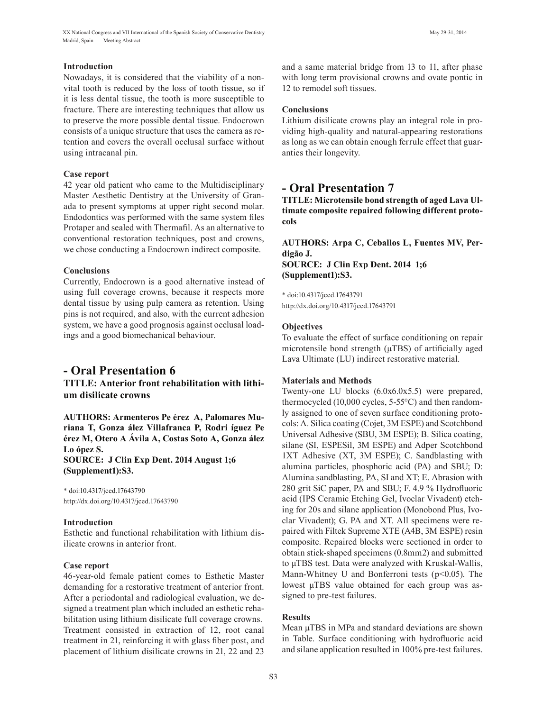XX National Congress and VII International of the Spanish Society of Conservative Dentistry May 29-31, 2014 Madrid, Spain - Meeting Abstract

#### **Introduction**

Nowadays, it is considered that the viability of a nonvital tooth is reduced by the loss of tooth tissue, so if it is less dental tissue, the tooth is more susceptible to fracture. There are interesting techniques that allow us to preserve the more possible dental tissue. Endocrown consists of a unique structure that uses the camera as retention and covers the overall occlusal surface without using intracanal pin.

#### **Case report**

42 year old patient who came to the Multidisciplinary Master Aesthetic Dentistry at the University of Granada to present symptoms at upper right second molar. Endodontics was performed with the same system files Protaper and sealed with Thermafil. As an alternative to conventional restoration techniques, post and crowns, we chose conducting a Endocrown indirect composite.

#### **Conclusions**

Currently, Endocrown is a good alternative instead of using full coverage crowns, because it respects more dental tissue by using pulp camera as retention. Using pins is not required, and also, with the current adhesion system, we have a good prognosis against occlusal loadings and a good biomechanical behaviour.

## **- Oral Presentation 6**

**TITLE: Anterior front rehabilitation with lithium disilicate crowns**

**AUTHORS: Armenteros Pe érez A, Palomares Muriana T, Gonza ález Villafranca P, Rodri íguez Pe érez M, Otero A Ávila A, Costas Soto A, Gonza ález Lo ópez S. SOURCE: J Clin Exp Dent. 2014 August 1;6**

**(Supplement1):S3.**

\* doi:10.4317/jced.17643790 http://dx.doi.org/10.4317/jced.17643790

#### **Introduction**

Esthetic and functional rehabilitation with lithium disilicate crowns in anterior front.

#### **Case report**

46-year-old female patient comes to Esthetic Master demanding for a restorative treatment of anterior front. After a periodontal and radiological evaluation, we designed a treatment plan which included an esthetic rehabilitation using lithium disilicate full coverage crowns. Treatment consisted in extraction of 12, root canal treatment in 21, reinforcing it with glass fiber post, and placement of lithium disilicate crowns in 21, 22 and 23 and a same material bridge from 13 to 11, after phase with long term provisional crowns and ovate pontic in 12 to remodel soft tissues.

### **Conclusions**

Lithium disilicate crowns play an integral role in providing high-quality and natural-appearing restorations as long as we can obtain enough ferrule effect that guaranties their longevity.

## **- Oral Presentation 7**

**TITLE: Microtensile bond strength of aged Lava Ultimate composite repaired following different protocols**

**AUTHORS: Arpa C, Ceballos L, Fuentes MV, Perdigão J. SOURCE: J Clin Exp Dent. 2014 1;6 (Supplement1):S3.**

\* doi:10.4317/jced.17643791 http://dx.doi.org/10.4317/jced.17643791

#### **Objectives**

To evaluate the effect of surface conditioning on repair microtensile bond strength ( $\mu$ TBS) of artificially aged Lava Ultimate (LU) indirect restorative material.

#### **Materials and Methods**

Twenty-one LU blocks (6.0x6.0x5.5) were prepared, thermocycled (10,000 cycles, 5-55°C) and then randomly assigned to one of seven surface conditioning protocols: A. Silica coating (Cojet, 3M ESPE) and Scotchbond Universal Adhesive (SBU, 3M ESPE); B. Silica coating, silane (SI, ESPESil, 3M ESPE) and Adper Scotchbond 1XT Adhesive (XT, 3M ESPE); C. Sandblasting with alumina particles, phosphoric acid (PA) and SBU; D: Alumina sandblasting, PA, SI and XT; E. Abrasion with 280 grit SiC paper, PA and SBU; F. 4.9 % Hydrofluoric acid (IPS Ceramic Etching Gel, Ivoclar Vivadent) etching for 20s and silane application (Monobond Plus, Ivoclar Vivadent); G. PA and XT. All specimens were repaired with Filtek Supreme XTE (A4B, 3M ESPE) resin composite. Repaired blocks were sectioned in order to obtain stick-shaped specimens (0.8mm2) and submitted to µTBS test. Data were analyzed with Kruskal-Wallis, Mann-Whitney U and Bonferroni tests ( $p$ <0.05). The lowest µTBS value obtained for each group was assigned to pre-test failures.

#### **Results**

Mean  $\mu$ TBS in MPa and standard deviations are shown in Table. Surface conditioning with hydrofluoric acid and silane application resulted in 100% pre-test failures.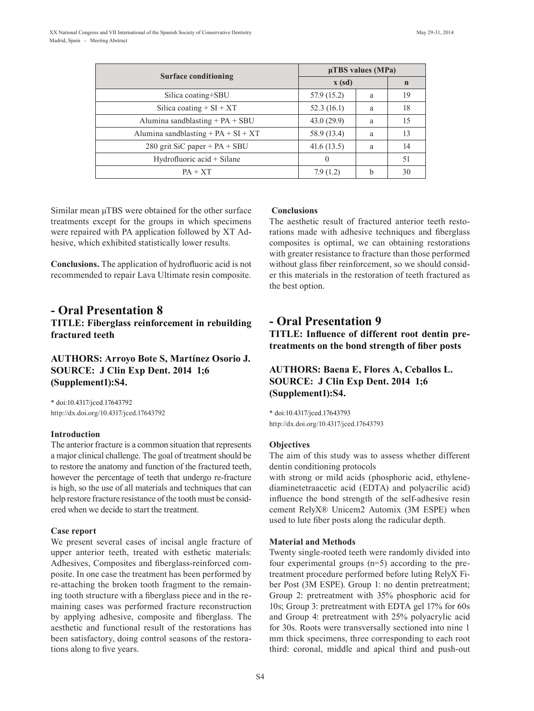|                                           | $\mu$ TBS values (MPa) |   |             |  |
|-------------------------------------------|------------------------|---|-------------|--|
| Surface conditioning                      | $\mathbf{x}$ (sd)      |   | $\mathbf n$ |  |
| Silica coating+SBU                        | 57.9 (15.2)            | a | 19          |  |
| Silica coating $+ SI + XT$                | 52.3(16.1)             | a | 18          |  |
| Alumina sandblasting $+ PA + SBU$         | 43.0(29.9)             | a | 15          |  |
| Alumina sandblasting + $PA$ + $SI$ + $XT$ | 58.9 (13.4)            | a | 13          |  |
| 280 grit SiC paper + $PA$ + SBU           | 41.6(13.5)             | a | 14          |  |
| Hydrofluoric acid $+$ Silane              | $\theta$               |   | 51          |  |
| $PA + XT$                                 | 7.9(1.2)               | h | 30          |  |

Similar mean μTBS were obtained for the other surface treatments except for the groups in which specimens were repaired with PA application followed by XT Adhesive, which exhibited statistically lower results.

**Conclusions.** The application of hydrofluoric acid is not recommended to repair Lava Ultimate resin composite.

## **- Oral Presentation 8 TITLE: Fiberglass reinforcement in rebuilding fractured teeth**

## **AUTHORS: Arroyo Bote S, Martínez Osorio J. SOURCE: J Clin Exp Dent. 2014 1;6 (Supplement1):S4.**

\* doi:10.4317/jced.17643792 http://dx.doi.org/10.4317/jced.17643792

#### **Introduction**

The anterior fracture is a common situation that represents a major clinical challenge. The goal of treatment should be to restore the anatomy and function of the fractured teeth, however the percentage of teeth that undergo re-fracture is high, so the use of all materials and techniques that can help restore fracture resistance of the tooth must be considered when we decide to start the treatment.

#### **Case report**

We present several cases of incisal angle fracture of upper anterior teeth, treated with esthetic materials: Adhesives, Composites and fiberglass-reinforced composite. In one case the treatment has been performed by re-attaching the broken tooth fragment to the remaining tooth structure with a fiberglass piece and in the remaining cases was performed fracture reconstruction by applying adhesive, composite and fiberglass. The aesthetic and functional result of the restorations has been satisfactory, doing control seasons of the restorations along to five years.

#### **Conclusions**

The aesthetic result of fractured anterior teeth restorations made with adhesive techniques and fiberglass composites is optimal, we can obtaining restorations with greater resistance to fracture than those performed without glass fiber reinforcement, so we should consider this materials in the restoration of teeth fractured as the best option.

## **- Oral Presentation 9**

**TITLE: Influence of different root dentin pretreatments on the bond strength of fiber posts**

## **AUTHORS: Baena E, Flores A, Ceballos L. SOURCE: J Clin Exp Dent. 2014 1;6 (Supplement1):S4.**

\* doi:10.4317/jced.17643793 http://dx.doi.org/10.4317/jced.17643793

#### **Objectives**

The aim of this study was to assess whether different dentin conditioning protocols

with strong or mild acids (phosphoric acid, ethylenediaminetetraacetic acid (EDTA) and polyacrilic acid) influence the bond strength of the self-adhesive resin cement RelyX® Unicem2 Automix (3M ESPE) when used to lute fiber posts along the radicular depth.

#### **Material and Methods**

Twenty single-rooted teeth were randomly divided into four experimental groups (n=5) according to the pretreatment procedure performed before luting RelyX Fiber Post (3M ESPE). Group 1: no dentin pretreatment; Group 2: pretreatment with 35% phosphoric acid for 10s; Group 3: pretreatment with EDTA gel 17% for 60s and Group 4: pretreatment with 25% polyacrylic acid for 30s. Roots were transversally sectioned into nine 1 mm thick specimens, three corresponding to each root third: coronal, middle and apical third and push-out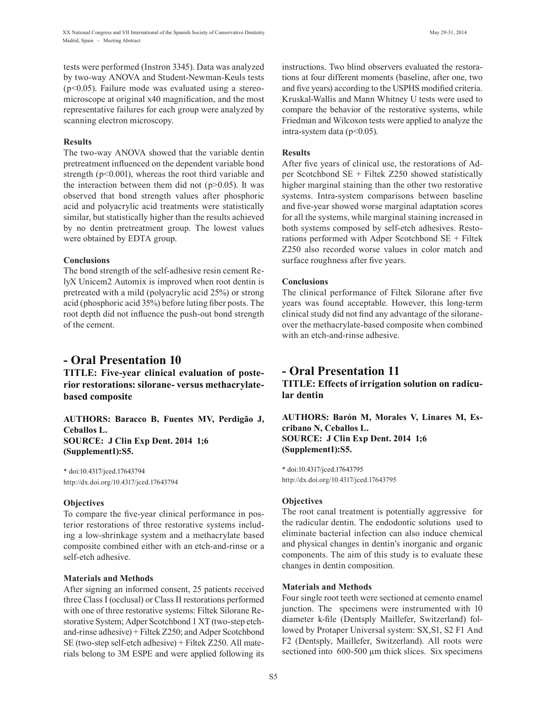tests were performed (Instron 3345). Data was analyzed by two-way ANOVA and Student-Newman-Keuls tests  $(p<0.05)$ . Failure mode was evaluated using a stereomicroscope at original x40 magnification, and the most representative failures for each group were analyzed by scanning electron microscopy.

#### **Results**

The two-way ANOVA showed that the variable dentin pretreatment influenced on the dependent variable bond strength ( $p<0.001$ ), whereas the root third variable and the interaction between them did not  $(p>0.05)$ . It was observed that bond strength values after phosphoric acid and polyacrylic acid treatments were statistically similar, but statistically higher than the results achieved by no dentin pretreatment group. The lowest values were obtained by EDTA group.

### **Conclusions**

The bond strength of the self-adhesive resin cement RelyX Unicem2 Automix is improved when root dentin is pretreated with a mild (polyacrylic acid 25%) or strong acid (phosphoric acid 35%) before luting fiber posts. The root depth did not influence the push-out bond strength of the cement.

## **- Oral Presentation 10**

**TITLE: Five-year clinical evaluation of posterior restorations: silorane- versus methacrylatebased composite**

**AUTHORS: Baracco B, Fuentes MV, Perdigão J, Ceballos L. SOURCE: J Clin Exp Dent. 2014 1;6 (Supplement1):S5.**

\* doi:10.4317/jced.17643794 http://dx.doi.org/10.4317/jced.17643794

## **Objectives**

To compare the five-year clinical performance in posterior restorations of three restorative systems including a low-shrinkage system and a methacrylate based composite combined either with an etch-and-rinse or a self-etch adhesive.

## **Materials and Methods**

After signing an informed consent, 25 patients received three Class I (occlusal) or Class II restorations performed with one of three restorative systems: Filtek Silorane Restorative System; Adper Scotchbond 1 XT (two-step etchand-rinse adhesive) + Filtek Z250; and Adper Scotchbond SE (two-step self-etch adhesive) + Filtek Z250. All materials belong to 3M ESPE and were applied following its instructions. Two blind observers evaluated the restorations at four different moments (baseline, after one, two and five years) according to the USPHS modified criteria. Kruskal-Wallis and Mann Whitney U tests were used to compare the behavior of the restorative systems, while Friedman and Wilcoxon tests were applied to analyze the intra-system data ( $p<0.05$ ).

### **Results**

After five years of clinical use, the restorations of Adper Scotchbond SE + Filtek Z250 showed statistically higher marginal staining than the other two restorative systems. Intra-system comparisons between baseline and five-year showed worse marginal adaptation scores for all the systems, while marginal staining increased in both systems composed by self-etch adhesives. Restorations performed with Adper Scotchbond SE + Filtek Z250 also recorded worse values in color match and surface roughness after five years.

## **Conclusions**

The clinical performance of Filtek Silorane after five years was found acceptable. However, this long-term clinical study did not find any advantage of the siloraneover the methacrylate-based composite when combined with an etch-and-rinse adhesive.

## **- Oral Presentation 11**

**TITLE: Effects of irrigation solution on radicular dentin**

**AUTHORS: Barón M, Morales V, Linares M, Escribano N, Ceballos L. SOURCE: J Clin Exp Dent. 2014 1;6 (Supplement1):S5.**

\* doi:10.4317/jced.17643795 http://dx.doi.org/10.4317/jced.17643795

## **Objectives**

The root canal treatment is potentially aggressive for the radicular dentin. The endodontic solutions used to eliminate bacterial infection can also induce chemical and physical changes in dentin's inorganic and organic components. The aim of this study is to evaluate these changes in dentin composition.

## **Materials and Methods**

Four single root teeth were sectioned at cemento enamel junction. The specimens were instrumented with 10 diameter k-file (Dentsply Maillefer, Switzerland) followed by Protaper Universal system: SX,S1, S2 F1 And F2 (Dentsply, Maillefer, Switzerland). All roots were sectioned into 600-500  $\mu$ m thick slices. Six specimens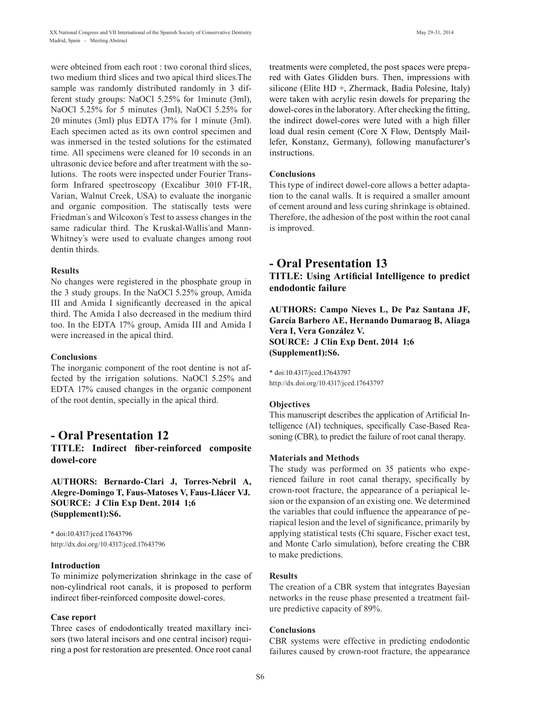were obteined from each root : two coronal third slices, two medium third slices and two apical third slices.The sample was randomly distributed randomly in 3 different study groups: NaOCl 5.25% for 1minute (3ml), NaOCl 5.25% for 5 minutes (3ml), NaOCl 5.25% for 20 minutes (3ml) plus EDTA 17% for 1 minute (3ml). Each specimen acted as its own control specimen and was inmersed in the tested solutions for the estimated time. All specimens were cleaned for 10 seconds in an ultrasonic device before and after treatment with the solutions. The roots were inspected under Fourier Transform Infrared spectroscopy (Excalibur 3010 FT-IR, Varian, Walnut Creek, USA) to evaluate the inorganic and organic composition. The statiscally tests were Friedman´s and Wilcoxon´s Test to assess changes in the same radicular third. The Kruskal-Wallis´and Mann-Whitney´s were used to evaluate changes among root dentin thirds.

#### **Results**

No changes were registered in the phosphate group in the 3 study groups. In the NaOCl 5.25% group, Amida III and Amida I significantly decreased in the apical third. The Amida I also decreased in the medium third too. In the EDTA 17% group, Amida III and Amida I were increased in the apical third.

#### **Conclusions**

The inorganic component of the root dentine is not affected by the irrigation solutions. NaOCl 5.25% and EDTA 17% caused changes in the organic component of the root dentin, specially in the apical third.

## **- Oral Presentation 12**

**TITLE: Indirect fiber-reinforced composite dowel-core**

**AUTHORS: Bernardo-Clari J, Torres-Nebril A, Alegre-Domingo T, Faus-Matoses V, Faus-Llácer VJ. SOURCE: J Clin Exp Dent. 2014 1;6 (Supplement1):S6.**

\* doi:10.4317/jced.17643796 http://dx.doi.org/10.4317/jced.17643796

#### **Introduction**

To minimize polymerization shrinkage in the case of non-cylindrical root canals, it is proposed to perform indirect fiber-reinforced composite dowel-cores.

#### **Case report**

Three cases of endodontically treated maxillary incisors (two lateral incisors and one central incisor) requiring a post for restoration are presented. Once root canal treatments were completed, the post spaces were prepared with Gates Glidden burs. Then, impressions with silicone (Elite HD +, Zhermack, Badia Polesine, Italy) were taken with acrylic resin dowels for preparing the dowel-cores in the laboratory. After checking the fitting, the indirect dowel-cores were luted with a high filler load dual resin cement (Core X Flow, Dentsply Maillefer, Konstanz, Germany), following manufacturer's instructions.

### **Conclusions**

This type of indirect dowel-core allows a better adaptation to the canal walls. It is required a smaller amount of cement around and less curing shrinkage is obtained. Therefore, the adhesion of the post within the root canal is improved.

## **- Oral Presentation 13**

**TITLE: Using Artificial Intelligence to predict endodontic failure**

**AUTHORS: Campo Nieves L, De Paz Santana JF, García Barbero AE, Hernando Dumaraog B, Aliaga Vera I, Vera González V. SOURCE: J Clin Exp Dent. 2014 1;6 (Supplement1):S6.**

\* doi:10.4317/jced.17643797 http://dx.doi.org/10.4317/jced.17643797

#### **Objectives**

This manuscript describes the application of Artificial Intelligence (AI) techniques, specifically Case-Based Reasoning (CBR), to predict the failure of root canal therapy.

### **Materials and Methods**

The study was performed on 35 patients who experienced failure in root canal therapy, specifically by crown-root fracture, the appearance of a periapical lesion or the expansion of an existing one. We determined the variables that could influence the appearance of periapical lesion and the level of significance, primarily by applying statistical tests (Chi square, Fischer exact test, and Monte Carlo simulation), before creating the CBR to make predictions.

#### **Results**

The creation of a CBR system that integrates Bayesian networks in the reuse phase presented a treatment failure predictive capacity of 89%.

## **Conclusions**

CBR systems were effective in predicting endodontic failures caused by crown-root fracture, the appearance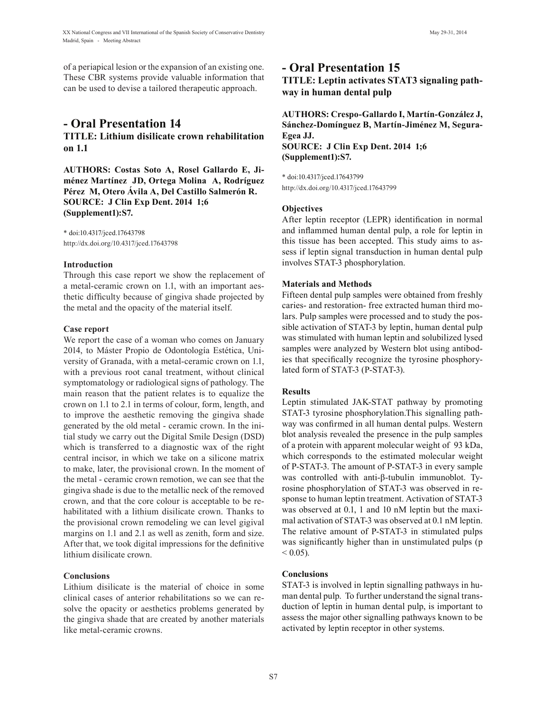of a periapical lesion or the expansion of an existing one. These CBR systems provide valuable information that can be used to devise a tailored therapeutic approach.

## **- Oral Presentation 14 TITLE: Lithium disilicate crown rehabilitation on 1.1**

**AUTHORS: Costas Soto A, Rosel Gallardo E, Jiménez Martínez JD, Ortega Molina A, Rodríguez Pérez M, Otero Ávila A, Del Castillo Salmerón R. SOURCE: J Clin Exp Dent. 2014 1;6 (Supplement1):S7.**

\* doi:10.4317/jced.17643798 http://dx.doi.org/10.4317/jced.17643798

#### **Introduction**

Through this case report we show the replacement of a metal-ceramic crown on 1.1, with an important aesthetic difficulty because of gingiva shade projected by the metal and the opacity of the material itself.

#### **Case report**

We report the case of a woman who comes on January 2014, to Máster Propio de Odontología Estética, University of Granada, with a metal-ceramic crown on 1.1, with a previous root canal treatment, without clinical symptomatology or radiological signs of pathology. The main reason that the patient relates is to equalize the crown on 1.1 to 2.1 in terms of colour, form, length, and to improve the aesthetic removing the gingiva shade generated by the old metal - ceramic crown. In the initial study we carry out the Digital Smile Design (DSD) which is transferred to a diagnostic wax of the right central incisor, in which we take on a silicone matrix to make, later, the provisional crown. In the moment of the metal - ceramic crown remotion, we can see that the gingiva shade is due to the metallic neck of the removed crown, and that the core colour is acceptable to be rehabilitated with a lithium disilicate crown. Thanks to the provisional crown remodeling we can level gigival margins on 1.1 and 2.1 as well as zenith, form and size. After that, we took digital impressions for the definitive lithium disilicate crown.

#### **Conclusions**

Lithium disilicate is the material of choice in some clinical cases of anterior rehabilitations so we can resolve the opacity or aesthetics problems generated by the gingiva shade that are created by another materials like metal-ceramic crowns.

## **- Oral Presentation 15**

**TITLE: Leptin activates STAT3 signaling pathway in human dental pulp**

**AUTHORS: Crespo-Gallardo I, Martín-González J, Sánchez-Domínguez B, Martín-Jiménez M, Segura-Egea JJ. SOURCE: J Clin Exp Dent. 2014 1;6 (Supplement1):S7.**

\* doi:10.4317/jced.17643799 http://dx.doi.org/10.4317/jced.17643799

#### **Objectives**

After leptin receptor (LEPR) identification in normal and inflammed human dental pulp, a role for leptin in this tissue has been accepted. This study aims to assess if leptin signal transduction in human dental pulp involves STAT-3 phosphorylation.

#### **Materials and Methods**

Fifteen dental pulp samples were obtained from freshly caries- and restoration- free extracted human third molars. Pulp samples were processed and to study the possible activation of STAT-3 by leptin, human dental pulp was stimulated with human leptin and solubilized lysed samples were analyzed by Western blot using antibodies that specifically recognize the tyrosine phosphorylated form of STAT-3 (P-STAT-3).

#### **Results**

Leptin stimulated JAK-STAT pathway by promoting STAT-3 tyrosine phosphorylation.This signalling pathway was confirmed in all human dental pulps. Western blot analysis revealed the presence in the pulp samples of a protein with apparent molecular weight of 93 kDa, which corresponds to the estimated molecular weight of P-STAT-3. The amount of P-STAT-3 in every sample was controlled with anti-β-tubulin immunoblot. Tyrosine phosphorylation of STAT-3 was observed in response to human leptin treatment. Activation of STAT-3 was observed at 0.1, 1 and 10 nM leptin but the maximal activation of STAT-3 was observed at 0.1 nM leptin. The relative amount of P-STAT-3 in stimulated pulps was significantly higher than in unstimulated pulps (p  $< 0.05$ ).

#### **Conclusions**

STAT-3 is involved in leptin signalling pathways in human dental pulp. To further understand the signal transduction of leptin in human dental pulp, is important to assess the major other signalling pathways known to be activated by leptin receptor in other systems.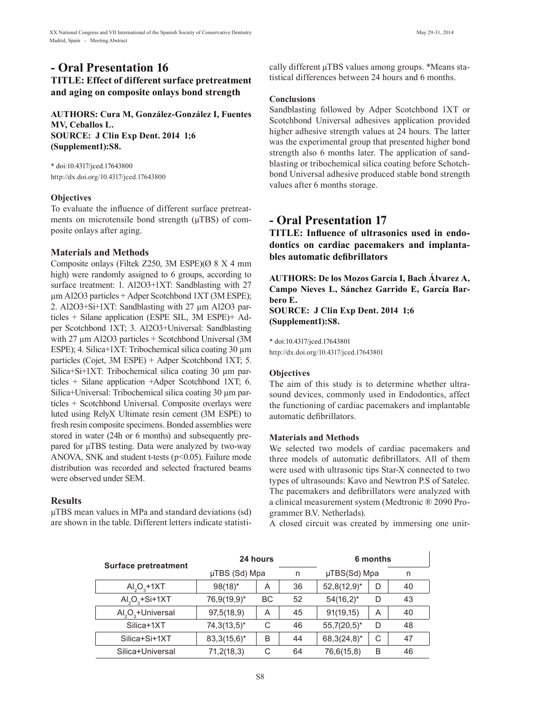## **- Oral Presentation 16**

## **TITLE: Effect of different surface pretreatment and aging on composite onlays bond strength**

**AUTHORS: Cura M, González-González I, Fuentes MV, Ceballos L. SOURCE: J Clin Exp Dent. 2014 1;6 (Supplement1):S8.**

\* doi:10.4317/jced.17643800 http://dx.doi.org/10.4317/jced.17643800

### **Objectives**

To evaluate the influence of different surface pretreatments on microtensile bond strength ( $\mu$ TBS) of composite onlays after aging.

## **Materials and Methods**

Composite onlays (Filtek Z250, 3M ESPE)(Ø 8 X 4 mm high) were randomly assigned to 6 groups, according to surface treatment: 1. Al2O3+1XT: Sandblasting with 27 µm Al2O3 particles + Adper Scotchbond 1XT (3M ESPE); 2. Al2O3+Si+1XT: Sandblasting with 27 µm Al2O3 particles + Silane application (ESPE SIL, 3M ESPE)+ Adper Scotchbond 1XT; 3. Al2O3+Universal: Sandblasting with 27  $\mu$ m Al2O3 particles + Scotchbond Universal (3M) ESPE); 4. Silica+1XT: Tribochemical silica coating 30  $\mu$ m particles (Cojet, 3M ESPE) + Adper Scotchbond 1XT; 5. Silica+Si+1XT: Tribochemical silica coating 30 µm particles + Silane application +Adper Scotchbond 1XT; 6. Silica+Universal: Tribochemical silica coating 30 µm particles + Scotchbond Universal. Composite overlays were luted using RelyX Ultimate resin cement (3M ESPE) to fresh resin composite specimens. Bonded assemblies were stored in water (24h or 6 months) and subsequently prepared for µTBS testing. Data were analyzed by two-way ANOVA, SNK and student t-tests ( $p$ <0.05). Failure mode distribution was recorded and selected fractured beams were observed under SEM.

## **Results**

µTBS mean values in MPa and standard deviations (sd) are shown in the table. Different letters indicate statistically different µTBS values among groups. \*Means statistical differences between 24 hours and 6 months.

#### **Conclusions**

Sandblasting followed by Adper Scotchbond 1XT or Scotchbond Universal adhesives application provided higher adhesive strength values at 24 hours. The latter was the experimental group that presented higher bond strength also 6 months later. The application of sandblasting or tribochemical silica coating before Schotchbond Universal adhesive produced stable bond strength values after 6 months storage.

## **- Oral Presentation 17**

**TITLE: Influence of ultrasonics used in endodontics on cardiac pacemakers and implantables automatic defibrillators**

**AUTHORS: De los Mozos García I, Bach Álvarez A, Campo Nieves L, Sánchez Garrido E, García Barbero E. SOURCE: J Clin Exp Dent. 2014 1;6**

**(Supplement1):S8.**

\* doi:10.4317/jced.17643801 http://dx.doi.org/10.4317/jced.17643801

## **Objectives**

The aim of this study is to determine whether ultrasound devices, commonly used in Endodontics, affect the functioning of cardiac pacemakers and implantable automatic defibrillators.

## **Materials and Methods**

We selected two models of cardiac pacemakers and three models of automatic defibrillators. All of them were used with ultrasonic tips Star-X connected to two types of ultrasounds: Kavo and Newtron P.S of Satelec. The pacemakers and defibrillators were analyzed with a clinical measurement system (Medtronic ® 2090 Programmer B.V. Netherlads).

A closed circuit was created by immersing one unir-

| <b>Surface pretreatment</b>               | 24 hours<br>µTBS (Sd) Mpa<br>n |    | 6 months |                |   |    |
|-------------------------------------------|--------------------------------|----|----------|----------------|---|----|
|                                           |                                |    |          | µTBS(Sd) Mpa   |   | n  |
| $AI2O3+1XT$                               | $98(18)^*$                     | A  | 36       | $52,8(12,9)^*$ | D | 40 |
| $AI2O3+Si+1XT$                            | 76,9(19,9)*                    | BC | 52       | $54(16,2)^*$   | D | 43 |
| Al <sub>2</sub> O <sub>2</sub> +Universal | 97,5(18,9)                     | A  | 45       | 91(19,15)      | A | 40 |
| Silica+1XT                                | $74,3(13,5)^*$                 | C  | 46       | $55,7(20,5)^*$ | D | 48 |
| Silica+Si+1XT                             | $83,3(15,6)^*$                 | B  | 44       | $68,3(24,8)^*$ | С | 47 |
| Silica+Universal                          | 71,2(18,3)                     | С  | 64       | 76,6(15,8)     | B | 46 |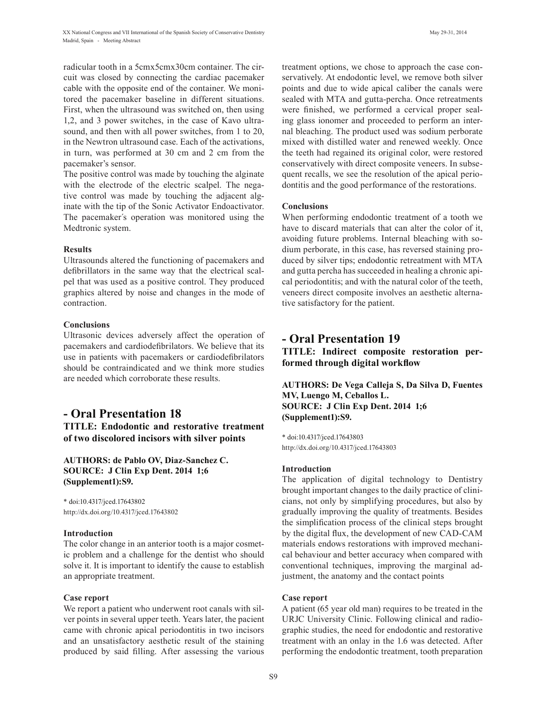radicular tooth in a 5cmx5cmx30cm container. The circuit was closed by connecting the cardiac pacemaker cable with the opposite end of the container. We monitored the pacemaker baseline in different situations. First, when the ultrasound was switched on, then using 1,2, and 3 power switches, in the case of Kavo ultrasound, and then with all power switches, from 1 to 20, in the Newtron ultrasound case. Each of the activations, in turn, was performed at 30 cm and 2 cm from the pacemaker's sensor.

The positive control was made by touching the alginate with the electrode of the electric scalpel. The negative control was made by touching the adjacent alginate with the tip of the Sonic Activator Endoactivator. The pacemaker´s operation was monitored using the Medtronic system.

#### **Results**

Ultrasounds altered the functioning of pacemakers and defibrillators in the same way that the electrical scalpel that was used as a positive control. They produced graphics altered by noise and changes in the mode of contraction.

#### **Conclusions**

Ultrasonic devices adversely affect the operation of pacemakers and cardiodefibrilators. We believe that its use in patients with pacemakers or cardiodefibrilators should be contraindicated and we think more studies are needed which corroborate these results.

## **- Oral Presentation 18 TITLE: Endodontic and restorative treatment of two discolored incisors with silver points**

## **AUTHORS: de Pablo OV, Diaz-Sanchez C. SOURCE: J Clin Exp Dent. 2014 1;6 (Supplement1):S9.**

\* doi:10.4317/jced.17643802 http://dx.doi.org/10.4317/jced.17643802

### **Introduction**

The color change in an anterior tooth is a major cosmetic problem and a challenge for the dentist who should solve it. It is important to identify the cause to establish an appropriate treatment.

#### **Case report**

We report a patient who underwent root canals with silver points in several upper teeth. Years later, the pacient came with chronic apical periodontitis in two incisors and an unsatisfactory aesthetic result of the staining produced by said filling. After assessing the various treatment options, we chose to approach the case conservatively. At endodontic level, we remove both silver points and due to wide apical caliber the canals were sealed with MTA and gutta-percha. Once retreatments were finished, we performed a cervical proper sealing glass ionomer and proceeded to perform an internal bleaching. The product used was sodium perborate mixed with distilled water and renewed weekly. Once the teeth had regained its original color, were restored conservatively with direct composite veneers. In subsequent recalls, we see the resolution of the apical periodontitis and the good performance of the restorations.

#### **Conclusions**

When performing endodontic treatment of a tooth we have to discard materials that can alter the color of it, avoiding future problems. Internal bleaching with sodium perborate, in this case, has reversed staining produced by silver tips; endodontic retreatment with MTA and gutta percha has succeeded in healing a chronic apical periodontitis; and with the natural color of the teeth, veneers direct composite involves an aesthetic alternative satisfactory for the patient.

## **- Oral Presentation 19**

**TITLE: Indirect composite restoration performed through digital workflow**

**AUTHORS: De Vega Calleja S, Da Silva D, Fuentes MV, Luengo M, Ceballos L. SOURCE: J Clin Exp Dent. 2014 1;6 (Supplement1):S9.**

\* doi:10.4317/jced.17643803 http://dx.doi.org/10.4317/jced.17643803

#### **Introduction**

The application of digital technology to Dentistry brought important changes to the daily practice of clinicians, not only by simplifying procedures, but also by gradually improving the quality of treatments. Besides the simplification process of the clinical steps brought by the digital flux, the development of new CAD-CAM materials endows restorations with improved mechanical behaviour and better accuracy when compared with conventional techniques, improving the marginal adjustment, the anatomy and the contact points

#### **Case report**

A patient (65 year old man) requires to be treated in the URJC University Clinic. Following clinical and radiographic studies, the need for endodontic and restorative treatment with an onlay in the 1.6 was detected. After performing the endodontic treatment, tooth preparation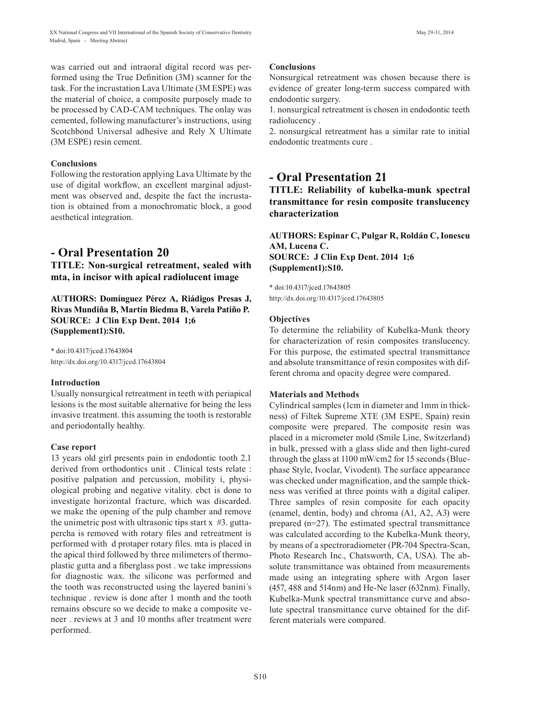was carried out and intraoral digital record was performed using the True Definition (3M) scanner for the task. For the incrustation Lava Ultimate (3M ESPE) was the material of choice, a composite purposely made to be processed by CAD-CAM techniques. The onlay was cemented, following manufacturer's instructions, using Scotchbond Universal adhesive and Rely X Ultimate (3M ESPE) resin cement.

### **Conclusions**

Following the restoration applying Lava Ultimate by the use of digital workflow, an excellent marginal adjustment was observed and, despite the fact the incrustation is obtained from a monochromatic block, a good aesthetical integration.

## **- Oral Presentation 20**

**TITLE: Non-surgical retreatment, sealed with mta, in incisor with apical radiolucent image**

**AUTHORS: Domínguez Pérez A, Riádigos Presas J, Rivas Mundiña B, Martín Biedma B, Varela Patiño P. SOURCE: J Clin Exp Dent. 2014 1;6 (Supplement1):S10.**

\* doi:10.4317/jced.17643804 http://dx.doi.org/10.4317/jced.17643804

#### **Introduction**

Usually nonsurgical retreatment in teeth with periapical lesions is the most suitable alternative for being the less invasive treatment. this assuming the tooth is restorable and periodontally healthy.

#### **Case report**

13 years old girl presents pain in endodontic tooth 2.1 derived from orthodontics unit . Clinical tests relate : positive palpation and percussion, mobility i, physiological probing and negative vitality. cbct is done to investigate horizontal fracture, which was discarded. we make the opening of the pulp chamber and remove the unimetric post with ultrasonic tips start  $x \#3$ . guttapercha is removed with rotary files and retreatment is performed with d protaper rotary files. mta is placed in the apical third followed by three milimeters of thermoplastic gutta and a fiberglass post . we take impressions for diagnostic wax. the silicone was performed and the tooth was reconstructed using the layered banini´s technique . review is done after 1 month and the tooth remains obscure so we decide to make a composite veneer . reviews at 3 and 10 months after treatment were performed.

#### **Conclusions**

Nonsurgical retreatment was chosen because there is evidence of greater long-term success compared with endodontic surgery.

1. nonsurgical retreatment is chosen in endodontic teeth radiolucency .

2. nonsurgical retreatment has a similar rate to initial endodontic treatments cure .

## **- Oral Presentation 21**

**TITLE: Reliability of kubelka-munk spectral transmittance for resin composite translucency characterization**

**AUTHORS: Espinar C, Pulgar R, Roldán C, Ionescu AM, Lucena C. SOURCE: J Clin Exp Dent. 2014 1;6 (Supplement1):S10.**

\* doi:10.4317/jced.17643805 http://dx.doi.org/10.4317/jced.17643805

#### **Objectives**

To determine the reliability of Kubelka-Munk theory for characterization of resin composites translucency. For this purpose, the estimated spectral transmittance and absolute transmittance of resin composites with different chroma and opacity degree were compared.

#### **Materials and Methods**

Cylindrical samples (1cm in diameter and 1mm in thickness) of Filtek Supreme XTE (3M ESPE, Spain) resin composite were prepared. The composite resin was placed in a micrometer mold (Smile Line, Switzerland) in bulk, pressed with a glass slide and then light-cured through the glass at 1100 mW/cm2 for 15 seconds (Bluephase Style, Ivoclar, Vivodent). The surface appearance was checked under magnification, and the sample thickness was verified at three points with a digital caliper. Three samples of resin composite for each opacity (enamel, dentin, body) and chroma (A1, A2, A3) were prepared (n=27). The estimated spectral transmittance was calculated according to the Kubelka-Munk theory, by means of a spectroradiometer (PR-704 Spectra-Scan, Photo Research Inc., Chatsworth, CA, USA). The absolute transmittance was obtained from measurements made using an integrating sphere with Argon laser (457, 488 and 514nm) and He-Ne laser (632nm). Finally, Kubelka-Munk spectral transmittance curve and absolute spectral transmittance curve obtained for the different materials were compared.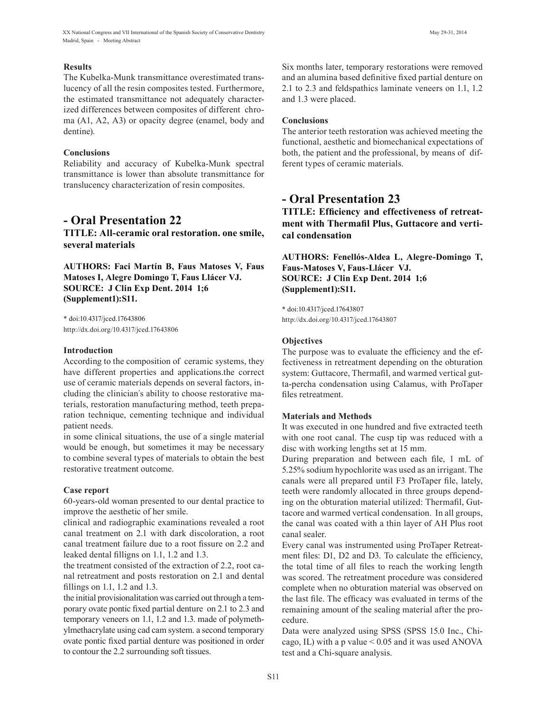XX National Congress and VII International of the Spanish Society of Conservative Dentistry May 29-31, 2014 Madrid, Spain - Meeting Abstract

#### **Results**

The Kubelka-Munk transmittance overestimated translucency of all the resin composites tested. Furthermore, the estimated transmittance not adequately characterized differences between composites of different chroma (A1, A2, A3) or opacity degree (enamel, body and dentine).

#### **Conclusions**

Reliability and accuracy of Kubelka-Munk spectral transmittance is lower than absolute transmittance for translucency characterization of resin composites.

## **- Oral Presentation 22**

**TITLE: All-ceramic oral restoration. one smile, several materials**

**AUTHORS: Faci Martín B, Faus Matoses V, Faus Matoses I, Alegre Domingo T, Faus Llácer VJ. SOURCE: J Clin Exp Dent. 2014 1;6 (Supplement1):S11.**

\* doi:10.4317/jced.17643806 http://dx.doi.org/10.4317/jced.17643806

#### **Introduction**

According to the composition of ceramic systems, they have different properties and applications.the correct use of ceramic materials depends on several factors, including the clinician´s ability to choose restorative materials, restoration manufacturing method, teeth preparation technique, cementing technique and individual patient needs.

in some clinical situations, the use of a single material would be enough, but sometimes it may be necessary to combine several types of materials to obtain the best restorative treatment outcome.

#### **Case report**

60-years-old woman presented to our dental practice to improve the aesthetic of her smile.

clinical and radiographic examinations revealed a root canal treatment on 2.1 with dark discoloration, a root canal treatment failure due to a root fissure on 2.2 and leaked dental filligns on 1.1, 1.2 and 1.3.

the treatment consisted of the extraction of 2.2, root canal retreatment and posts restoration on 2.1 and dental fillings on 1.1, 1.2 and 1.3.

the initial provisionalitation was carried out through a temporary ovate pontic fixed partial denture on 2.1 to 2.3 and temporary veneers on 1.1, 1.2 and 1.3. made of polymethylmethacrylate using cad cam system. a second temporary ovate pontic fixed partial denture was positioned in order to contour the 2.2 surrounding soft tissues.

Six months later, temporary restorations were removed and an alumina based definitive fixed partial denture on 2.1 to 2.3 and feldspathics laminate veneers on 1.1, 1.2 and 1.3 were placed.

#### **Conclusions**

The anterior teeth restoration was achieved meeting the functional, aesthetic and biomechanical expectations of both, the patient and the professional, by means of different types of ceramic materials.

## **- Oral Presentation 23**

**TITLE: Efficiency and effectiveness of retreatment with Thermafil Plus, Guttacore and vertical condensation**

**AUTHORS: Fenellós-Aldea L, Alegre-Domingo T, Faus-Matoses V, Faus-Llácer VJ. SOURCE: J Clin Exp Dent. 2014 1;6 (Supplement1):S11.**

\* doi:10.4317/jced.17643807 http://dx.doi.org/10.4317/jced.17643807

#### **Objectives**

The purpose was to evaluate the efficiency and the effectiveness in retreatment depending on the obturation system: Guttacore, Thermafil, and warmed vertical gutta-percha condensation using Calamus, with ProTaper files retreatment.

#### **Materials and Methods**

It was executed in one hundred and five extracted teeth with one root canal. The cusp tip was reduced with a disc with working lengths set at 15 mm.

During preparation and between each file, 1 mL of 5.25% sodium hypochlorite was used as an irrigant. The canals were all prepared until F3 ProTaper file, lately, teeth were randomly allocated in three groups depending on the obturation material utilized: Thermafil, Guttacore and warmed vertical condensation. In all groups, the canal was coated with a thin layer of AH Plus root canal sealer.

Every canal was instrumented using ProTaper Retreatment files: D1, D2 and D3. To calculate the efficiency, the total time of all files to reach the working length was scored. The retreatment procedure was considered complete when no obturation material was observed on the last file. The efficacy was evaluated in terms of the remaining amount of the sealing material after the procedure.

Data were analyzed using SPSS (SPSS 15.0 Inc., Chicago, IL) with a p value  $\leq 0.05$  and it was used ANOVA test and a Chi-square analysis.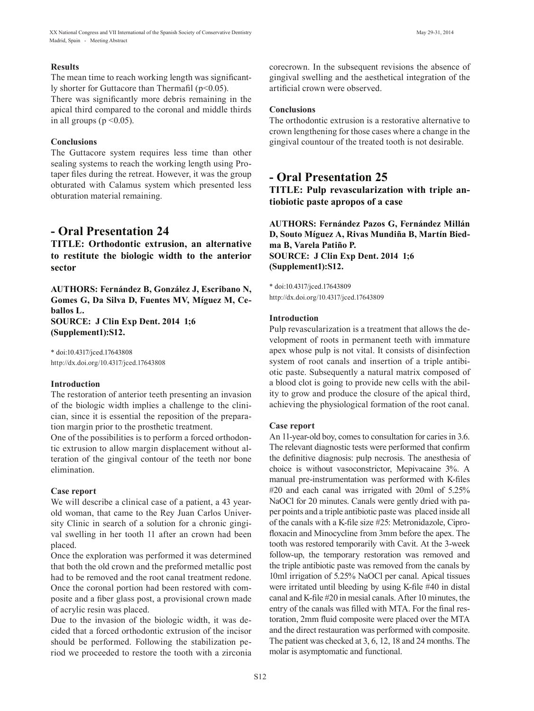The mean time to reach working length was significantly shorter for Guttacore than Thermafil (p<0.05).

There was significantly more debris remaining in the apical third compared to the coronal and middle thirds in all groups ( $p \le 0.05$ ).

## **Conclusions**

The Guttacore system requires less time than other sealing systems to reach the working length using Protaper files during the retreat. However, it was the group obturated with Calamus system which presented less obturation material remaining.

## **- Oral Presentation 24**

**TITLE: Orthodontic extrusion, an alternative to restitute the biologic width to the anterior sector** 

**AUTHORS: Fernández B, González J, Escribano N, Gomes G, Da Silva D, Fuentes MV, Míguez M, Ceballos L. SOURCE: J Clin Exp Dent. 2014 1;6 (Supplement1):S12.**

\* doi:10.4317/jced.17643808 http://dx.doi.org/10.4317/jced.17643808

## **Introduction**

The restoration of anterior teeth presenting an invasion of the biologic width implies a challenge to the clinician, since it is essential the reposition of the preparation margin prior to the prosthetic treatment.

One of the possibilities is to perform a forced orthodontic extrusion to allow margin displacement without alteration of the gingival contour of the teeth nor bone elimination.

#### **Case report**

We will describe a clinical case of a patient, a 43 yearold woman, that came to the Rey Juan Carlos University Clinic in search of a solution for a chronic gingival swelling in her tooth 11 after an crown had been placed.

Once the exploration was performed it was determined that both the old crown and the preformed metallic post had to be removed and the root canal treatment redone. Once the coronal portion had been restored with composite and a fiber glass post, a provisional crown made of acrylic resin was placed.

Due to the invasion of the biologic width, it was decided that a forced orthodontic extrusion of the incisor should be performed. Following the stabilization period we proceeded to restore the tooth with a zirconia corecrown. In the subsequent revisions the absence of gingival swelling and the aesthetical integration of the artificial crown were observed.

## **Conclusions**

The orthodontic extrusion is a restorative alternative to crown lengthening for those cases where a change in the gingival countour of the treated tooth is not desirable.

## **- Oral Presentation 25**

**TITLE: Pulp revascularization with triple antiobiotic paste apropos of a case**

**AUTHORS: Fernández Pazos G, Fernández Millán D, Souto Míguez A, Rivas Mundiña B, Martín Biedma B, Varela Patiño P. SOURCE: J Clin Exp Dent. 2014 1;6 (Supplement1):S12.**

\* doi:10.4317/jced.17643809 http://dx.doi.org/10.4317/jced.17643809

### **Introduction**

Pulp revascularization is a treatment that allows the development of roots in permanent teeth with immature apex whose pulp is not vital. It consists of disinfection system of root canals and insertion of a triple antibiotic paste. Subsequently a natural matrix composed of a blood clot is going to provide new cells with the ability to grow and produce the closure of the apical third, achieving the physiological formation of the root canal.

## **Case report**

An 11-year-old boy, comes to consultation for caries in 3.6. The relevant diagnostic tests were performed that confirm the definitive diagnosis: pulp necrosis. The anesthesia of choice is without vasoconstrictor, Mepivacaine 3%. A manual pre-instrumentation was performed with K-files #20 and each canal was irrigated with 20ml of 5.25% NaOCl for 20 minutes. Canals were gently dried with paper points and a triple antibiotic paste was placed inside all of the canals with a K-file size #25: Metronidazole, Ciprofloxacin and Minocycline from 3mm before the apex. The tooth was restored temporarily with Cavit. At the 3-week follow-up, the temporary restoration was removed and the triple antibiotic paste was removed from the canals by 10ml irrigation of 5.25% NaOCl per canal. Apical tissues were irritated until bleeding by using K-file #40 in distal canal and K-file #20 in mesial canals. After 10 minutes, the entry of the canals was filled with MTA. For the final restoration, 2mm fluid composite were placed over the MTA and the direct restauration was performed with composite. The patient was checked at 3, 6, 12, 18 and 24 months. The molar is asymptomatic and functional.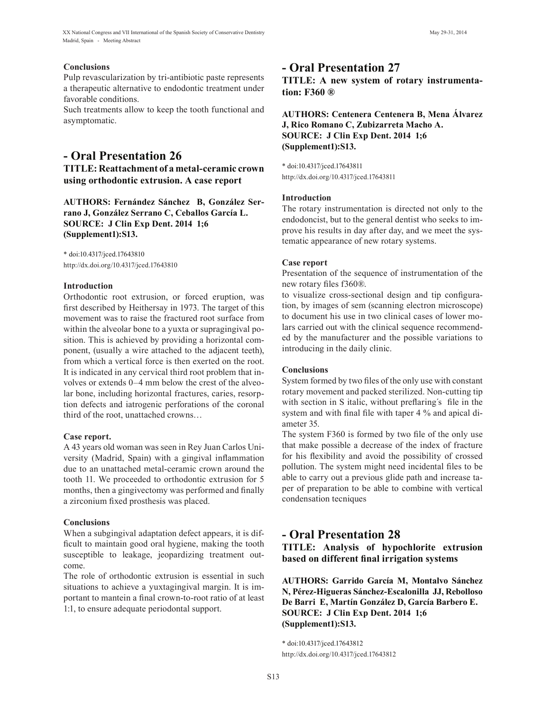#### **Conclusions**

Pulp revascularization by tri-antibiotic paste represents a therapeutic alternative to endodontic treatment under favorable conditions.

Such treatments allow to keep the tooth functional and asymptomatic.

## **- Oral Presentation 26**

**TITLE: Reattachment of a metal-ceramic crown using orthodontic extrusion. A case report**

**AUTHORS: Fernández Sánchez B, González Serrano J, González Serrano C, Ceballos García L. SOURCE: J Clin Exp Dent. 2014 1;6 (Supplement1):S13.**

\* doi:10.4317/jced.17643810 http://dx.doi.org/10.4317/jced.17643810

#### **Introduction**

Orthodontic root extrusion, or forced eruption, was first described by Heithersay in 1973. The target of this movement was to raise the fractured root surface from within the alveolar bone to a yuxta or supragingival position. This is achieved by providing a horizontal component, (usually a wire attached to the adjacent teeth), from which a vertical force is then exerted on the root. It is indicated in any cervical third root problem that involves or extends 0–4 mm below the crest of the alveolar bone, including horizontal fractures, caries, resorption defects and iatrogenic perforations of the coronal third of the root, unattached crowns…

#### **Case report.**

A 43 years old woman was seen in Rey Juan Carlos University (Madrid, Spain) with a gingival inflammation due to an unattached metal-ceramic crown around the tooth 11. We proceeded to orthodontic extrusion for 5 months, then a gingivectomy was performed and finally a zirconium fixed prosthesis was placed.

#### **Conclusions**

When a subgingival adaptation defect appears, it is difficult to maintain good oral hygiene, making the tooth susceptible to leakage, jeopardizing treatment outcome.

The role of orthodontic extrusion is essential in such situations to achieve a yuxtagingival margin. It is important to mantein a final crown-to-root ratio of at least 1:1, to ensure adequate periodontal support.

## **- Oral Presentation 27**

**TITLE: A new system of rotary instrumentation: F360 ®**

## **AUTHORS: Centenera Centenera B, Mena Álvarez J, Rico Romano C, Zubizarreta Macho A. SOURCE: J Clin Exp Dent. 2014 1;6 (Supplement1):S13.**

\* doi:10.4317/jced.17643811 http://dx.doi.org/10.4317/jced.17643811

#### **Introduction**

The rotary instrumentation is directed not only to the endodoncist, but to the general dentist who seeks to improve his results in day after day, and we meet the systematic appearance of new rotary systems.

#### **Case report**

Presentation of the sequence of instrumentation of the new rotary files f360®.

to visualize cross-sectional design and tip configuration, by images of sem (scanning electron microscope) to document his use in two clinical cases of lower molars carried out with the clinical sequence recommended by the manufacturer and the possible variations to introducing in the daily clinic.

#### **Conclusions**

System formed by two files of the only use with constant rotary movement and packed sterilized. Non-cutting tip with section in S italic, without preflaring's file in the system and with final file with taper 4 % and apical diameter 35.

The system F360 is formed by two file of the only use that make possible a decrease of the index of fracture for his flexibility and avoid the possibility of crossed pollution. The system might need incidental files to be able to carry out a previous glide path and increase taper of preparation to be able to combine with vertical condensation tecniques

## **- Oral Presentation 28**

**TITLE: Analysis of hypochlorite extrusion based on different final irrigation systems**

**AUTHORS: Garrido García M, Montalvo Sánchez N, Pérez-Higueras Sánchez-Escalonilla JJ, Rebolloso De Barri E, Martín González D, García Barbero E. SOURCE: J Clin Exp Dent. 2014 1;6 (Supplement1):S13.**

\* doi:10.4317/jced.17643812 http://dx.doi.org/10.4317/jced.17643812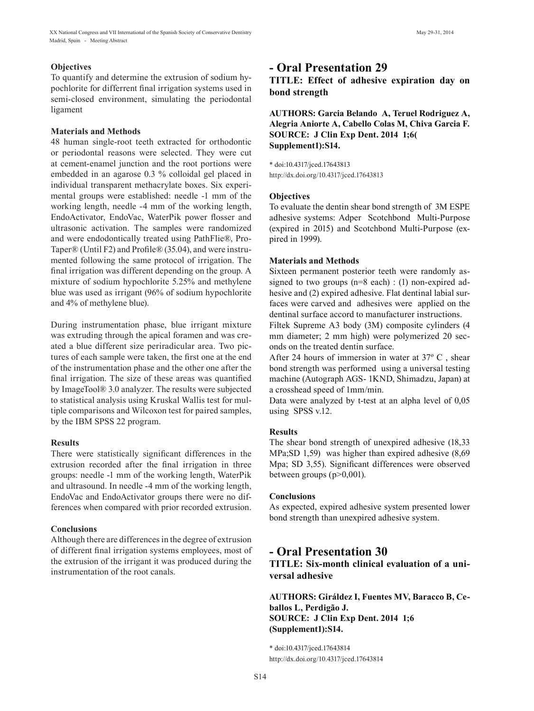To quantify and determine the extrusion of sodium hypochlorite for differrent final irrigation systems used in semi-closed environment, simulating the periodontal ligament

## **Materials and Methods**

48 human single-root teeth extracted for orthodontic or periodontal reasons were selected. They were cut at cement-enamel junction and the root portions were embedded in an agarose 0.3 % colloidal gel placed in individual transparent methacrylate boxes. Six experimental groups were established: needle -1 mm of the working length, needle -4 mm of the working length, EndoActivator, EndoVac, WaterPik power flosser and ultrasonic activation. The samples were randomized and were endodontically treated using PathFlie®, Pro-Taper® (Until F2) and Profile® (35.04), and were instrumented following the same protocol of irrigation. The final irrigation was different depending on the group. A mixture of sodium hypochlorite 5.25% and methylene blue was used as irrigant (96% of sodium hypochlorite and 4% of methylene blue).

During instrumentation phase, blue irrigant mixture was extruding through the apical foramen and was created a blue different size periradicular area. Two pictures of each sample were taken, the first one at the end of the instrumentation phase and the other one after the final irrigation. The size of these areas was quantified by ImageTool® 3.0 analyzer. The results were subjected to statistical analysis using Kruskal Wallis test for multiple comparisons and Wilcoxon test for paired samples, by the IBM SPSS 22 program.

## **Results**

There were statistically significant differences in the extrusion recorded after the final irrigation in three groups: needle -1 mm of the working length, WaterPik and ultrasound. In needle -4 mm of the working length, EndoVac and EndoActivator groups there were no differences when compared with prior recorded extrusion.

## **Conclusions**

Although there are differences in the degree of extrusion of different final irrigation systems employees, most of the extrusion of the irrigant it was produced during the instrumentation of the root canals.

## **- Oral Presentation 29**

**TITLE: Effect of adhesive expiration day on bond strength**

**AUTHORS: Garcia Belando A, Teruel Rodriguez A, Alegria Aniorte A, Cabello Colas M, Chiva Garcia F. SOURCE: J Clin Exp Dent. 2014 1;6( Supplement1):S14.**

\* doi:10.4317/jced.17643813 http://dx.doi.org/10.4317/jced.17643813

## **Objectives**

To evaluate the dentin shear bond strength of 3M ESPE adhesive systems: Adper Scotchbond Multi-Purpose (expired in 2015) and Scotchbond Multi-Purpose (expired in 1999).

## **Materials and Methods**

Sixteen permanent posterior teeth were randomly assigned to two groups (n=8 each) : (1) non-expired adhesive and (2) expired adhesive. Flat dentinal labial surfaces were carved and adhesives were applied on the dentinal surface accord to manufacturer instructions.

Filtek Supreme A3 body (3M) composite cylinders (4 mm diameter; 2 mm high) were polymerized 20 seconds on the treated dentin surface.

After 24 hours of immersion in water at 37º C , shear bond strength was performed using a universal testing machine (Autograph AGS- 1KND, Shimadzu, Japan) at a crosshead speed of 1mm/min.

Data were analyzed by t-test at an alpha level of 0,05 using SPSS v.12.

## **Results**

The shear bond strength of unexpired adhesive (18,33 MPa;SD 1,59) was higher than expired adhesive (8,69 Mpa; SD 3,55). Significant differences were observed between groups (p>0,001).

## **Conclusions**

As expected, expired adhesive system presented lower bond strength than unexpired adhesive system.

## **- Oral Presentation 30 TITLE: Six-month clinical evaluation of a universal adhesive**

**AUTHORS: Giráldez I, Fuentes MV, Baracco B, Ceballos L, Perdigão J. SOURCE: J Clin Exp Dent. 2014 1;6 (Supplement1):S14.**

\* doi:10.4317/jced.17643814 http://dx.doi.org/10.4317/jced.17643814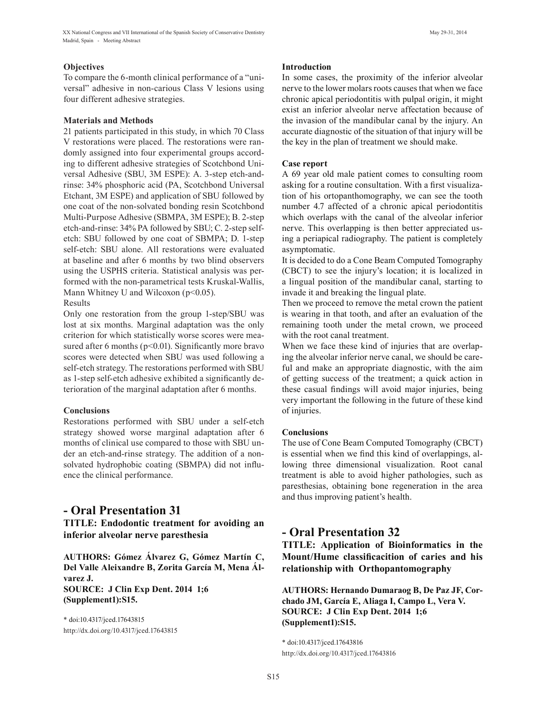### **Objectives**

To compare the 6-month clinical performance of a "universal" adhesive in non-carious Class V lesions using four different adhesive strategies.

#### **Materials and Methods**

21 patients participated in this study, in which 70 Class V restorations were placed. The restorations were randomly assigned into four experimental groups according to different adhesive strategies of Scotchbond Universal Adhesive (SBU, 3M ESPE): A. 3-step etch-andrinse: 34% phosphoric acid (PA, Scotchbond Universal Etchant, 3M ESPE) and application of SBU followed by one coat of the non-solvated bonding resin Scotchbond Multi-Purpose Adhesive (SBMPA, 3M ESPE); B. 2-step etch-and-rinse: 34% PA followed by SBU; C. 2-step selfetch: SBU followed by one coat of SBMPA; D. 1-step self-etch: SBU alone. All restorations were evaluated at baseline and after 6 months by two blind observers using the USPHS criteria. Statistical analysis was performed with the non-parametrical tests Kruskal-Wallis, Mann Whitney U and Wilcoxon  $(p<0.05)$ .

Results

Only one restoration from the group 1-step/SBU was lost at six months. Marginal adaptation was the only criterion for which statistically worse scores were measured after 6 months ( $p<0.01$ ). Significantly more bravo scores were detected when SBU was used following a self-etch strategy. The restorations performed with SBU as 1-step self-etch adhesive exhibited a significantly deterioration of the marginal adaptation after 6 months.

## **Conclusions**

Restorations performed with SBU under a self-etch strategy showed worse marginal adaptation after 6 months of clinical use compared to those with SBU under an etch-and-rinse strategy. The addition of a nonsolvated hydrophobic coating (SBMPA) did not influence the clinical performance.

## **- Oral Presentation 31**

**TITLE: Endodontic treatment for avoiding an inferior alveolar nerve paresthesia**

**AUTHORS: Gómez Álvarez G, Gómez Martín C, Del Valle Aleixandre B, Zorita García M, Mena Álvarez J. SOURCE: J Clin Exp Dent. 2014 1;6 (Supplement1):S15.**

\* doi:10.4317/jced.17643815 http://dx.doi.org/10.4317/jced.17643815

#### **Introduction**

In some cases, the proximity of the inferior alveolar nerve to the lower molars roots causes that when we face chronic apical periodontitis with pulpal origin, it might exist an inferior alveolar nerve affectation because of the invasion of the mandibular canal by the injury. An accurate diagnostic of the situation of that injury will be the key in the plan of treatment we should make.

### **Case report**

A 69 year old male patient comes to consulting room asking for a routine consultation. With a first visualization of his ortopanthomography, we can see the tooth number 4.7 affected of a chronic apical periodontitis which overlaps with the canal of the alveolar inferior nerve. This overlapping is then better appreciated using a periapical radiography. The patient is completely asymptomatic.

It is decided to do a Cone Beam Computed Tomography (CBCT) to see the injury's location; it is localized in a lingual position of the mandibular canal, starting to invade it and breaking the lingual plate.

Then we proceed to remove the metal crown the patient is wearing in that tooth, and after an evaluation of the remaining tooth under the metal crown, we proceed with the root canal treatment.

When we face these kind of injuries that are overlaping the alveolar inferior nerve canal, we should be careful and make an appropriate diagnostic, with the aim of getting success of the treatment; a quick action in these casual findings will avoid major injuries, being very important the following in the future of these kind of injuries.

## **Conclusions**

The use of Cone Beam Computed Tomography (CBCT) is essential when we find this kind of overlappings, allowing three dimensional visualization. Root canal treatment is able to avoid higher pathologies, such as paresthesias, obtaining bone regeneration in the area and thus improving patient's health.

## **- Oral Presentation 32**

**TITLE: Application of Bioinformatics in the Mount/Hume classificacition of caries and his relationship with Orthopantomography**

**AUTHORS: Hernando Dumaraog B, De Paz JF, Corchado JM, García E, Aliaga I, Campo L, Vera V. SOURCE: J Clin Exp Dent. 2014 1;6 (Supplement1):S15.**

\* doi:10.4317/jced.17643816 http://dx.doi.org/10.4317/jced.17643816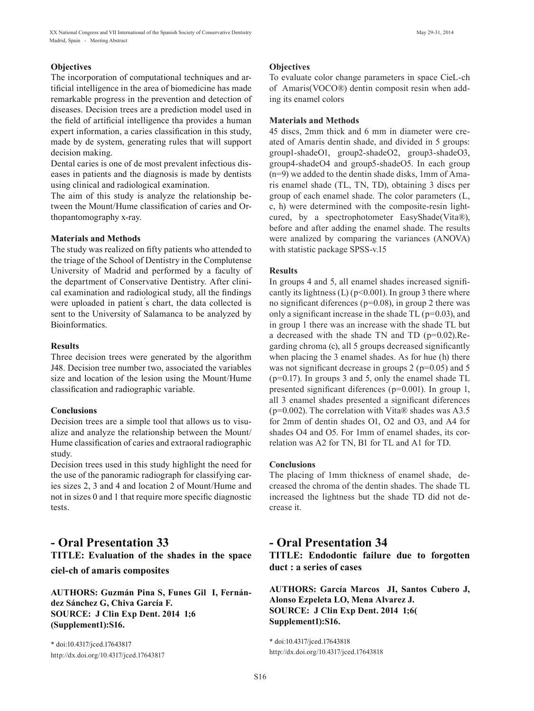## **Objectives**

The incorporation of computational techniques and artificial intelligence in the area of biomedicine has made remarkable progress in the prevention and detection of diseases. Decision trees are a prediction model used in the field of artificial intelligence tha provides a human expert information, a caries classification in this study, made by de system, generating rules that will support decision making.

Dental caries is one of de most prevalent infectious diseases in patients and the diagnosis is made by dentists using clinical and radiological examination.

The aim of this study is analyze the relationship between the Mount/Hume classification of caries and Orthopantomography x-ray.

#### **Materials and Methods**

The study was realized on fifty patients who attended to the triage of the School of Dentistry in the Complutense University of Madrid and performed by a faculty of the department of Conservative Dentistry. After clinical examination and radiological study, all the findings were uploaded in patient s chart, the data collected is sent to the University of Salamanca to be analyzed by Bioinformatics.

#### **Results**

Three decision trees were generated by the algorithm J48. Decision tree number two, associated the variables size and location of the lesion using the Mount/Hume classification and radiographic variable.

#### **Conclusions**

Decision trees are a simple tool that allows us to visualize and analyze the relationship between the Mount/ Hume classification of caries and extraoral radiographic study.

Decision trees used in this study highlight the need for the use of the panoramic radiograph for classifying caries sizes 2, 3 and 4 and location 2 of Mount/Hume and not in sizes 0 and 1 that require more specific diagnostic tests.

## **- Oral Presentation 33 TITLE: Evaluation of the shades in the space**

## **ciel-ch of amaris composites**

**AUTHORS: Guzmán Pina S, Funes Gil I, Fernández Sánchez G, Chiva García F. SOURCE: J Clin Exp Dent. 2014 1;6 (Supplement1):S16.**

\* doi:10.4317/jced.17643817 http://dx.doi.org/10.4317/jced.17643817

### **Objectives**

To evaluate color change parameters in space CieL-ch of Amaris(VOCO®) dentin composit resin when adding its enamel colors

### **Materials and Methods**

45 discs, 2mm thick and 6 mm in diameter were created of Amaris dentin shade, and divided in 5 groups: group1-shadeO1, group2-shadeO2, group3-shadeO3, group4-shadeO4 and group5-shadeO5. In each group (n=9) we added to the dentin shade disks, 1mm of Amaris enamel shade (TL, TN, TD), obtaining 3 discs per group of each enamel shade. The color parameters (L, c, h) were determined with the composite-resin lightcured, by a spectrophotometer EasyShade(Vita®), before and after adding the enamel shade. The results were analized by comparing the variances (ANOVA) with statistic package SPSS-v.15

### **Results**

In groups 4 and 5, all enamel shades increased significantly its lightness (L) ( $p$ <0.001). In group 3 there where no significant diferences (p=0.08), in group 2 there was only a significant increase in the shade  $TL$  ( $p=0.03$ ), and in group 1 there was an increase with the shade TL but a decreased with the shade TN and TD (p=0.02).Regarding chroma (c), all 5 groups decreased significantly when placing the 3 enamel shades. As for hue (h) there was not significant decrease in groups  $2$  ( $p=0.05$ ) and  $5$ (p=0.17). In groups 3 and 5, only the enamel shade TL presented significant diferences (p=0.001). In group 1, all 3 enamel shades presented a significant diferences ( $p=0.002$ ). The correlation with Vita® shades was A3.5 for 2mm of dentin shades O1, O2 and O3, and A4 for shades O4 and O5. For 1mm of enamel shades, its correlation was A2 for TN, B1 for TL and A1 for TD.

## **Conclusions**

The placing of 1mm thickness of enamel shade, decreased the chroma of the dentin shades. The shade TL increased the lightness but the shade TD did not decrease it.

## **- Oral Presentation 34**

**TITLE: Endodontic failure due to forgotten duct : a series of cases**

**AUTHORS: García Marcos JI, Santos Cubero J, Alonso Ezpeleta LO, Mena Alvarez J. SOURCE: J Clin Exp Dent. 2014 1;6( Supplement1):S16.**

\* doi:10.4317/jced.17643818 http://dx.doi.org/10.4317/jced.17643818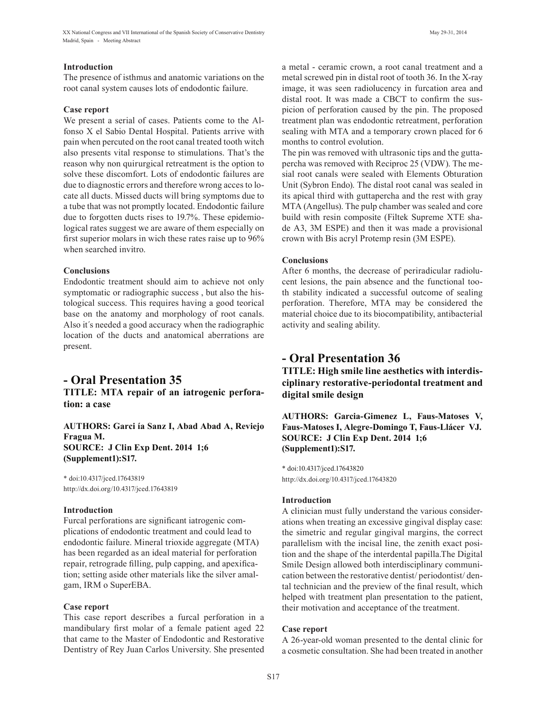### **Introduction**

The presence of isthmus and anatomic variations on the root canal system causes lots of endodontic failure.

### **Case report**

We present a serial of cases. Patients come to the Alfonso X el Sabio Dental Hospital. Patients arrive with pain when percuted on the root canal treated tooth witch also presents vital response to stimulations. That's the reason why non quirurgical retreatment is the option to solve these discomfort. Lots of endodontic failures are due to diagnostic errors and therefore wrong acces to locate all ducts. Missed ducts will bring symptoms due to a tube that was not promptly located. Endodontic failure due to forgotten ducts rises to 19.7%. These epidemiological rates suggest we are aware of them especially on first superior molars in wich these rates raise up to 96% when searched invitro.

### **Conclusions**

Endodontic treatment should aim to achieve not only symptomatic or radiographic success , but also the histological success. This requires having a good teorical base on the anatomy and morphology of root canals. Also it´s needed a good accuracy when the radiographic location of the ducts and anatomical aberrations are present.

## **- Oral Presentation 35**

**TITLE: MTA repair of an iatrogenic perforation: a case**

## **AUTHORS: Garci ía Sanz I, Abad Abad A, Reviejo Fragua M. SOURCE: J Clin Exp Dent. 2014 1;6 (Supplement1):S17.**

\* doi:10.4317/jced.17643819 http://dx.doi.org/10.4317/jced.17643819

## **Introduction**

Furcal perforations are significant iatrogenic complications of endodontic treatment and could lead to endodontic failure. Mineral trioxide aggregate (MTA) has been regarded as an ideal material for perforation repair, retrograde filling, pulp capping, and apexification; setting aside other materials like the silver amalgam, IRM o SuperEBA.

## **Case report**

This case report describes a furcal perforation in a mandibulary first molar of a female patient aged 22 that came to the Master of Endodontic and Restorative Dentistry of Rey Juan Carlos University. She presented a metal - ceramic crown, a root canal treatment and a metal screwed pin in distal root of tooth 36. In the X-ray image, it was seen radiolucency in furcation area and distal root. It was made a CBCT to confirm the suspicion of perforation caused by the pin. The proposed treatment plan was endodontic retreatment, perforation sealing with MTA and a temporary crown placed for 6 months to control evolution.

The pin was removed with ultrasonic tips and the guttapercha was removed with Reciproc 25 (VDW). The mesial root canals were sealed with Elements Obturation Unit (Sybron Endo). The distal root canal was sealed in its apical third with guttapercha and the rest with gray MTA (Angellus). The pulp chamber was sealed and core build with resin composite (Filtek Supreme XTE shade A3, 3M ESPE) and then it was made a provisional crown with Bis acryl Protemp resin (3M ESPE).

### **Conclusions**

After 6 months, the decrease of periradicular radiolucent lesions, the pain absence and the functional tooth stability indicated a successful outcome of sealing perforation. Therefore, MTA may be considered the material choice due to its biocompatibility, antibacterial activity and sealing ability.

## **- Oral Presentation 36**

**TITLE: High smile line aesthetics with interdisciplinary restorative-periodontal treatment and digital smile design**

**AUTHORS: Garcia-Gimenez L, Faus-Matoses V, Faus-Matoses I, Alegre-Domingo T, Faus-Llácer VJ. SOURCE: J Clin Exp Dent. 2014 1;6 (Supplement1):S17.**

\* doi:10.4317/jced.17643820 http://dx.doi.org/10.4317/jced.17643820

## **Introduction**

A clinician must fully understand the various considerations when treating an excessive gingival display case: the simetric and regular gingival margins, the correct parallelism with the incisal line, the zenith exact position and the shape of the interdental papilla.The Digital Smile Design allowed both interdisciplinary communication between the restorative dentist/ periodontist/ dental technician and the preview of the final result, which helped with treatment plan presentation to the patient, their motivation and acceptance of the treatment.

#### **Case report**

A 26-year-old woman presented to the dental clinic for a cosmetic consultation. She had been treated in another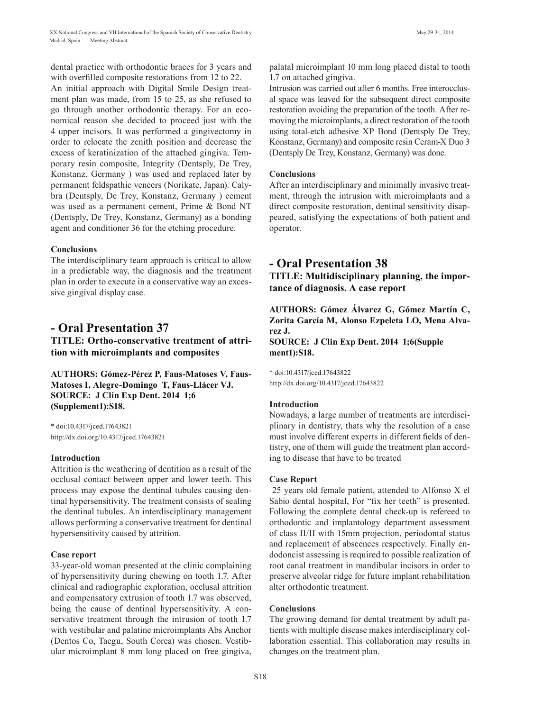dental practice with orthodontic braces for 3 years and with overfilled composite restorations from 12 to 22.

An initial approach with Digital Smile Design treatment plan was made, from 15 to 25, as she refused to go through another orthodontic therapy. For an economical reason she decided to proceed just with the 4 upper incisors. It was performed a gingivectomy in order to relocate the zenith position and decrease the excess of keratinization of the attached gingiva. Temporary resin composite, Integrity (Dentsply, De Trey, Konstanz, Germany ) was used and replaced later by permanent feldspathic veneers (Norikate, Japan). Calybra (Dentsply, De Trey, Konstanz, Germany ) cement was used as a permanent cement, Prime & Bond NT (Dentsply, De Trey, Konstanz, Germany) as a bonding agent and conditioner 36 for the etching procedure.

#### **Conclusions**

The interdisciplinary team approach is critical to allow in a predictable way, the diagnosis and the treatment plan in order to execute in a conservative way an excessive gingival display case.

## **- Oral Presentation 37**

**TITLE: Ortho-conservative treatment of attrition with microimplants and composites**

**AUTHORS: Gómez-Pérez P, Faus-Matoses V, Faus-Matoses I, Alegre-Domingo T, Faus-Llácer VJ. SOURCE: J Clin Exp Dent. 2014 1;6 (Supplement1):S18.**

\* doi:10.4317/jced.17643821 http://dx.doi.org/10.4317/jced.17643821

### **Introduction**

Attrition is the weathering of dentition as a result of the occlusal contact between upper and lower teeth. This process may expose the dentinal tubules causing dentinal hypersensitivity. The treatment consists of sealing the dentinal tubules. An interdisciplinary management allows performing a conservative treatment for dentinal hypersensitivity caused by attrition.

#### **Case report**

33-year-old woman presented at the clinic complaining of hypersensitivity during chewing on tooth 1.7. After clinical and radiographic exploration, occlusal attrition and compensatory extrusion of tooth 1.7 was observed, being the cause of dentinal hypersensitivity. A conservative treatment through the intrusion of tooth 1.7 with vestibular and palatine microimplants Abs Anchor (Dentos Co, Taegu, South Corea) was chosen. Vestibular microimplant 8 mm long placed on free gingiva, palatal microimplant 10 mm long placed distal to tooth 1.7 on attached gingiva.

Intrusion was carried out after 6 months. Free interocclusal space was leaved for the subsequent direct composite restoration avoiding the preparation of the tooth. After removing the microimplants, a direct restoration of the tooth using total-etch adhesive XP Bond (Dentsply De Trey, Konstanz, Germany) and composite resin Ceram-X Duo 3 (Dentsply De Trey, Konstanz, Germany) was done.

#### **Conclusions**

After an interdisciplinary and minimally invasive treatment, through the intrusion with microimplants and a direct composite restoration, dentinal sensitivity disappeared, satisfying the expectations of both patient and operator.

## **- Oral Presentation 38**

**TITLE: Multidisciplinary planning, the importance of diagnosis. A case report**

**AUTHORS: Gómez Álvarez G, Gómez Martín C, Zorita García M, Alonso Ezpeleta LO, Mena Alvarez J. SOURCE: J Clin Exp Dent. 2014 1;6(Supple ment1):S18.**

\* doi:10.4317/jced.17643822 http://dx.doi.org/10.4317/jced.17643822

#### **Introduction**

Nowadays, a large number of treatments are interdisciplinary in dentistry, thats why the resolution of a case must involve different experts in different fields of dentistry, one of them will guide the treatment plan according to disease that have to be treated

#### **Case Report**

 25 years old female patient, attended to Alfonso X el Sabio dental hospital, For "fix her teeth" is presented. Following the complete dental check-up is refereed to orthodontic and implantology department assessment of class II/II with 15mm projection, periodontal status and replacement of abscences respectively. Finally endodoncist assessing is required to possible realization of root canal treatment in mandibular incisors in order to preserve alveolar ridge for future implant rehabilitation alter orthodontic treatment.

#### **Conclusions**

The growing demand for dental treatment by adult patients with multiple disease makes interdisciplinary collaboration essential. This collaboration may results in changes on the treatment plan.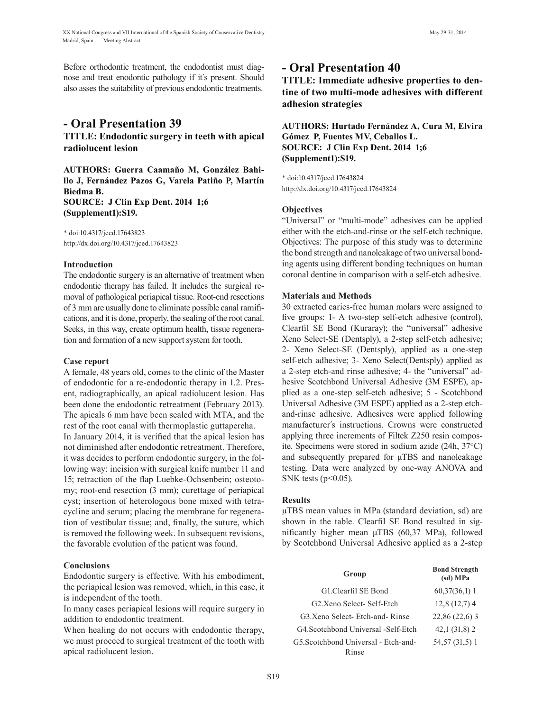Before orthodontic treatment, the endodontist must diagnose and treat enodontic pathology if it´s present. Should also asses the suitability of previous endodontic treatments.

## **- Oral Presentation 39 TITLE: Endodontic surgery in teeth with apical radiolucent lesion**

**AUTHORS: Guerra Caamaño M, González Bahillo J, Fernández Pazos G, Varela Patiño P, Martín Biedma B. SOURCE: J Clin Exp Dent. 2014 1;6 (Supplement1):S19.**

\* doi:10.4317/jced.17643823 http://dx.doi.org/10.4317/jced.17643823

#### **Introduction**

The endodontic surgery is an alternative of treatment when endodontic therapy has failed. It includes the surgical removal of pathological periapical tissue. Root-end resections of 3 mm are usually done to eliminate possible canal ramifications, and it is done, properly, the sealing of the root canal. Seeks, in this way, create optimum health, tissue regeneration and formation of a new support system for tooth.

#### **Case report**

A female, 48 years old, comes to the clinic of the Master of endodontic for a re-endodontic therapy in 1.2. Present, radiographically, an apical radiolucent lesion. Has been done the endodontic retreatment (February 2013). The apicals 6 mm have been sealed with MTA, and the rest of the root canal with thermoplastic guttapercha. In January 2014, it is verified that the apical lesion has not diminished after endodontic retreatment. Therefore, it was decides to perform endodontic surgery, in the following way: incision with surgical knife number 11 and 15; retraction of the flap Luebke-Ochsenbein; osteotomy; root-end resection (3 mm); curettage of periapical cyst; insertion of heterologous bone mixed with tetracycline and serum; placing the membrane for regeneration of vestibular tissue; and, finally, the suture, which is removed the following week. In subsequent revisions, the favorable evolution of the patient was found.

#### **Conclusions**

Endodontic surgery is effective. With his embodiment, the periapical lesion was removed, which, in this case, it is independent of the tooth.

In many cases periapical lesions will require surgery in addition to endodontic treatment.

When healing do not occurs with endodontic therapy, we must proceed to surgical treatment of the tooth with apical radiolucent lesion.

## **- Oral Presentation 40**

**TITLE: Immediate adhesive properties to dentine of two multi-mode adhesives with different adhesion strategies**

**AUTHORS: Hurtado Fernández A, Cura M, Elvira Gómez P, Fuentes MV, Ceballos L. SOURCE: J Clin Exp Dent. 2014 1;6 (Supplement1):S19.**

\* doi:10.4317/jced.17643824 http://dx.doi.org/10.4317/jced.17643824

## **Objectives**

"Universal" or "multi-mode" adhesives can be applied either with the etch-and-rinse or the self-etch technique. Objectives: The purpose of this study was to determine the bond strength and nanoleakage of two universal bonding agents using different bonding techniques on human coronal dentine in comparison with a self-etch adhesive.

### **Materials and Methods**

30 extracted caries-free human molars were assigned to five groups: 1- A two-step self-etch adhesive (control), Clearfil SE Bond (Kuraray); the "universal" adhesive Xeno Select-SE (Dentsply), a 2-step self-etch adhesive; 2- Xeno Select-SE (Dentsply), applied as a one-step self-etch adhesive; 3- Xeno Select(Dentsply) applied as a 2-step etch-and rinse adhesive; 4- the "universal" adhesive Scotchbond Universal Adhesive (3M ESPE), applied as a one-step self-etch adhesive; 5 - Scotchbond Universal Adhesive (3M ESPE) applied as a 2-step etchand-rinse adhesive. Adhesives were applied following manufacturer´s instructions. Crowns were constructed applying three increments of Filtek Z250 resin composite. Specimens were stored in sodium azide (24h, 37°C) and subsequently prepared for  $\mu$ TBS and nanoleakage testing. Data were analyzed by one-way ANOVA and SNK tests  $(p<0.05)$ .

#### **Results**

µTBS mean values in MPa (standard deviation, sd) are shown in the table. Clearfil SE Bond resulted in significantly higher mean  $\mu$ TBS (60,37 MPa), followed by Scotchbond Universal Adhesive applied as a 2-step

| Group                                | <b>Bond Strength</b><br>(sd) MPa |
|--------------------------------------|----------------------------------|
| G1 Clearfil SE Bond                  | $60,37(36,1)$ 1                  |
| G2 Xeno Select- Self-Etch            | $12,8(12,7)$ 4                   |
| G3.Xeno Select-Etch-and-Rinse        | $22,86(22,6)$ 3                  |
| G4. Scotchbond Universal - Self-Etch | $42,1(31,8)$ 2                   |
| G5. Scotchbond Universal - Etch-and- | 54,57 (31,5) 1                   |
| Rinse                                |                                  |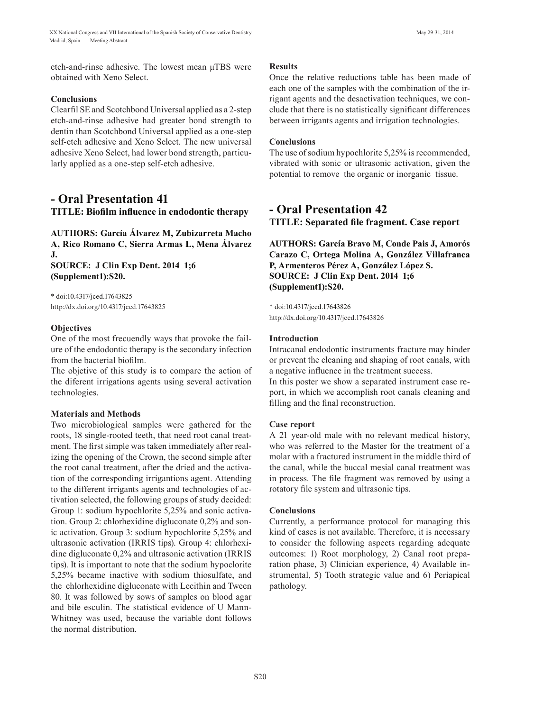etch-and-rinse adhesive. The lowest mean µTBS were obtained with Xeno Select.

#### **Conclusions**

Clearfil SE and Scotchbond Universal applied as a 2-step etch-and-rinse adhesive had greater bond strength to dentin than Scotchbond Universal applied as a one-step self-etch adhesive and Xeno Select. The new universal adhesive Xeno Select, had lower bond strength, particularly applied as a one-step self-etch adhesive.

## **- Oral Presentation 41 TITLE: Biofilm influence in endodontic therapy**

**AUTHORS: García Álvarez M, Zubizarreta Macho A, Rico Romano C, Sierra Armas L, Mena Álvarez J. SOURCE: J Clin Exp Dent. 2014 1;6**

**(Supplement1):S20.**

\* doi:10.4317/jced.17643825 http://dx.doi.org/10.4317/jced.17643825

### **Objectives**

One of the most frecuendly ways that provoke the failure of the endodontic therapy is the secondary infection from the bacterial biofilm.

The objetive of this study is to compare the action of the diferent irrigations agents using several activation technologies.

## **Materials and Methods**

Two microbiological samples were gathered for the roots, 18 single-rooted teeth, that need root canal treatment. The first simple was taken immediately after realizing the opening of the Crown, the second simple after the root canal treatment, after the dried and the activation of the corresponding irrigantions agent. Attending to the different irrigants agents and technologies of activation selected, the following groups of study decided: Group 1: sodium hypochlorite 5,25% and sonic activation. Group 2: chlorhexidine digluconate 0,2% and sonic activation. Group 3: sodium hypochlorite 5,25% and ultrasonic activation (IRRIS tips). Group 4: chlorhexidine digluconate 0,2% and ultrasonic activation (IRRIS tips). It is important to note that the sodium hypoclorite 5,25% became inactive with sodium thiosulfate, and the chlorhexidine digluconate with Lecithin and Tween 80. It was followed by sows of samples on blood agar and bile esculin. The statistical evidence of U Mann-Whitney was used, because the variable dont follows the normal distribution.

### **Results**

Once the relative reductions table has been made of each one of the samples with the combination of the irrigant agents and the desactivation techniques, we conclude that there is no statistically significant differences between irrigants agents and irrigation technologies.

### **Conclusions**

The use of sodium hypochlorite 5,25% is recommended, vibrated with sonic or ultrasonic activation, given the potential to remove the organic or inorganic tissue.

## **- Oral Presentation 42 TITLE: Separated file fragment. Case report**

**AUTHORS: García Bravo M, Conde Pais J, Amorós Carazo C, Ortega Molina A, González Villafranca P, Armenteros Pérez A, González López S. SOURCE: J Clin Exp Dent. 2014 1;6 (Supplement1):S20.**

\* doi:10.4317/jced.17643826 http://dx.doi.org/10.4317/jced.17643826

### **Introduction**

Intracanal endodontic instruments fracture may hinder or prevent the cleaning and shaping of root canals, with a negative influence in the treatment success.

In this poster we show a separated instrument case report, in which we accomplish root canals cleaning and filling and the final reconstruction.

## **Case report**

A 21 year-old male with no relevant medical history, who was referred to the Master for the treatment of a molar with a fractured instrument in the middle third of the canal, while the buccal mesial canal treatment was in process. The file fragment was removed by using a rotatory file system and ultrasonic tips.

## **Conclusions**

Currently, a performance protocol for managing this kind of cases is not available. Therefore, it is necessary to consider the following aspects regarding adequate outcomes: 1) Root morphology, 2) Canal root preparation phase, 3) Clinician experience, 4) Available instrumental, 5) Tooth strategic value and 6) Periapical pathology.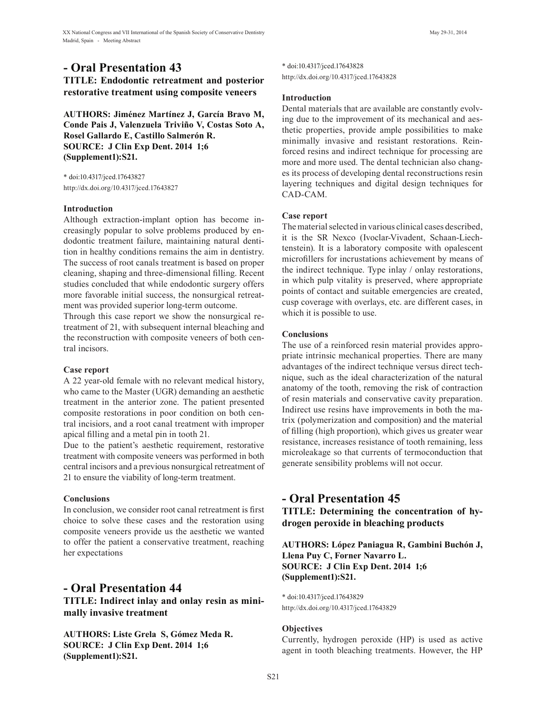## **- Oral Presentation 43**

## **TITLE: Endodontic retreatment and posterior restorative treatment using composite veneers**

**AUTHORS: Jiménez Martínez J, García Bravo M, Conde Pais J, Valenzuela Triviño V, Costas Soto A, Rosel Gallardo E, Castillo Salmerón R. SOURCE: J Clin Exp Dent. 2014 1;6 (Supplement1):S21.**

\* doi:10.4317/jced.17643827 http://dx.doi.org/10.4317/jced.17643827

## **Introduction**

Although extraction-implant option has become increasingly popular to solve problems produced by endodontic treatment failure, maintaining natural dentition in healthy conditions remains the aim in dentistry. The success of root canals treatment is based on proper cleaning, shaping and three-dimensional filling. Recent studies concluded that while endodontic surgery offers more favorable initial success, the nonsurgical retreatment was provided superior long-term outcome.

Through this case report we show the nonsurgical retreatment of 21, with subsequent internal bleaching and the reconstruction with composite veneers of both central incisors.

## **Case report**

A 22 year-old female with no relevant medical history, who came to the Master (UGR) demanding an aesthetic treatment in the anterior zone. The patient presented composite restorations in poor condition on both central incisiors, and a root canal treatment with improper apical filling and a metal pin in tooth 21.

Due to the patient's aesthetic requirement, restorative treatment with composite veneers was performed in both central incisors and a previous nonsurgical retreatment of 21 to ensure the viability of long-term treatment.

## **Conclusions**

In conclusion, we consider root canal retreatment is first choice to solve these cases and the restoration using composite veneers provide us the aesthetic we wanted to offer the patient a conservative treatment, reaching her expectations

## **- Oral Presentation 44**

**TITLE: Indirect inlay and onlay resin as minimally invasive treatment**

**AUTHORS: Liste Grela S, Gómez Meda R. SOURCE: J Clin Exp Dent. 2014 1;6 (Supplement1):S21.**

\* doi:10.4317/jced.17643828 http://dx.doi.org/10.4317/jced.17643828

### **Introduction**

Dental materials that are available are constantly evolving due to the improvement of its mechanical and aesthetic properties, provide ample possibilities to make minimally invasive and resistant restorations. Reinforced resins and indirect technique for processing are more and more used. The dental technician also changes its process of developing dental reconstructions resin layering techniques and digital design techniques for CAD-CAM.

### **Case report**

The material selected in various clinical cases described, it is the SR Nexco (Ivoclar-Vivadent, Schaan-Liechtenstein). It is a laboratory composite with opalescent microfillers for incrustations achievement by means of the indirect technique. Type inlay / onlay restorations, in which pulp vitality is preserved, where appropriate points of contact and suitable emergencies are created, cusp coverage with overlays, etc. are different cases, in which it is possible to use.

## **Conclusions**

The use of a reinforced resin material provides appropriate intrinsic mechanical properties. There are many advantages of the indirect technique versus direct technique, such as the ideal characterization of the natural anatomy of the tooth, removing the risk of contraction of resin materials and conservative cavity preparation. Indirect use resins have improvements in both the matrix (polymerization and composition) and the material of filling (high proportion), which gives us greater wear resistance, increases resistance of tooth remaining, less microleakage so that currents of termoconduction that generate sensibility problems will not occur.

## **- Oral Presentation 45**

**TITLE: Determining the concentration of hydrogen peroxide in bleaching products**

**AUTHORS: López Paniagua R, Gambini Buchón J, Llena Puy C, Forner Navarro L. SOURCE: J Clin Exp Dent. 2014 1;6 (Supplement1):S21.**

\* doi:10.4317/jced.17643829 http://dx.doi.org/10.4317/jced.17643829

## **Objectives**

Currently, hydrogen peroxide (HP) is used as active agent in tooth bleaching treatments. However, the HP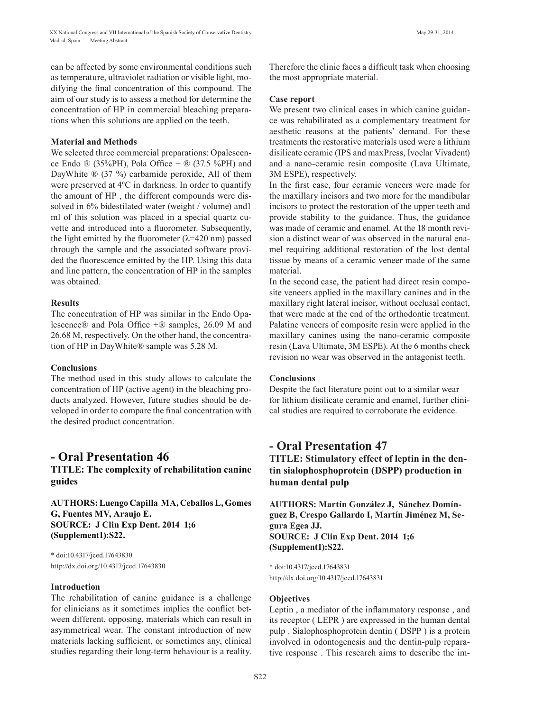can be affected by some environmental conditions such as temperature, ultraviolet radiation or visible light, modifying the final concentration of this compound. The aim of our study is to assess a method for determine the concentration of HP in commercial bleaching preparations when this solutions are applied on the teeth.

#### **Material and Methods**

We selected three commercial preparations: Opalescence Endo  $\mathbb{R}$  (35%PH), Pola Office +  $\mathbb{R}$  (37.5 %PH) and DayWhite ® (37 %) carbamide peroxide, All of them were preserved at 4ºC in darkness. In order to quantify the amount of HP , the different compounds were dissolved in 6% bidestilated water (weight / volume) and1 ml of this solution was placed in a special quartz cuvette and introduced into a fluorometer. Subsequently, the light emitted by the fluorometer  $(\lambda = 420 \text{ nm})$  passed through the sample and the associated software provided the fluorescence emitted by the HP. Using this data and line pattern, the concentration of HP in the samples was obtained.

#### **Results**

The concentration of HP was similar in the Endo Opalescence<sup>®</sup> and Pola Office  $+$ <sup>®</sup> samples, 26.09 M and 26.68 M, respectively. On the other hand, the concentration of HP in DayWhite® sample was 5.28 M.

#### **Conclusions**

The method used in this study allows to calculate the concentration of HP (active agent) in the bleaching products analyzed. However, future studies should be developed in order to compare the final concentration with the desired product concentration.

## **- Oral Presentation 46**

**TITLE: The complexity of rehabilitation canine guides**

**AUTHORS: Luengo Capilla MA, Ceballos L, Gomes G, Fuentes MV, Araujo E. SOURCE: J Clin Exp Dent. 2014 1;6 (Supplement1):S22.**

\* doi:10.4317/jced.17643830 http://dx.doi.org/10.4317/jced.17643830

#### **Introduction**

The rehabilitation of canine guidance is a challenge for clinicians as it sometimes implies the conflict between different, opposing, materials which can result in asymmetrical wear. The constant introduction of new materials lacking sufficient, or sometimes any, clinical studies regarding their long-term behaviour is a reality.

Therefore the clinic faces a difficult task when choosing the most appropriate material.

#### **Case report**

We present two clinical cases in which canine guidance was rehabilitated as a complementary treatment for aesthetic reasons at the patients' demand. For these treatments the restorative materials used were a lithium disilicate ceramic (IPS and maxPress, Ivoclar Vivadent) and a nano-ceramic resin composite (Lava Ultimate, 3M ESPE), respectively.

In the first case, four ceramic veneers were made for the maxillary incisors and two more for the mandibular incisors to protect the restoration of the upper teeth and provide stability to the guidance. Thus, the guidance was made of ceramic and enamel. At the 18 month revision a distinct wear of was observed in the natural enamel requiring additional restoration of the lost dental tissue by means of a ceramic veneer made of the same material.

In the second case, the patient had direct resin composite veneers applied in the maxillary canines and in the maxillary right lateral incisor, without occlusal contact, that were made at the end of the orthodontic treatment. Palatine veneers of composite resin were applied in the maxillary canines using the nano-ceramic composite resin (Lava Ultimate, 3M ESPE). At the 6 months check revision no wear was observed in the antagonist teeth.

#### **Conclusions**

Despite the fact literature point out to a similar wear for lithium disilicate ceramic and enamel, further clinical studies are required to corroborate the evidence.

## **- Oral Presentation 47**

**TITLE: Stimulatory effect of leptin in the dentin sialophosphoprotein (DSPP) production in human dental pulp**

**AUTHORS: Martín González J, Sánchez Domínguez B, Crespo Gallardo I, Martín Jiménez M, Segura Egea JJ. SOURCE: J Clin Exp Dent. 2014 1;6 (Supplement1):S22.**

\* doi:10.4317/jced.17643831 http://dx.doi.org/10.4317/jced.17643831

#### **Objectives**

Leptin , a mediator of the inflammatory response , and its receptor ( LEPR ) are expressed in the human dental pulp . Sialophosphoprotein dentin ( DSPP ) is a protein involved in odontogenesis and the dentin-pulp reparative response . This research aims to describe the im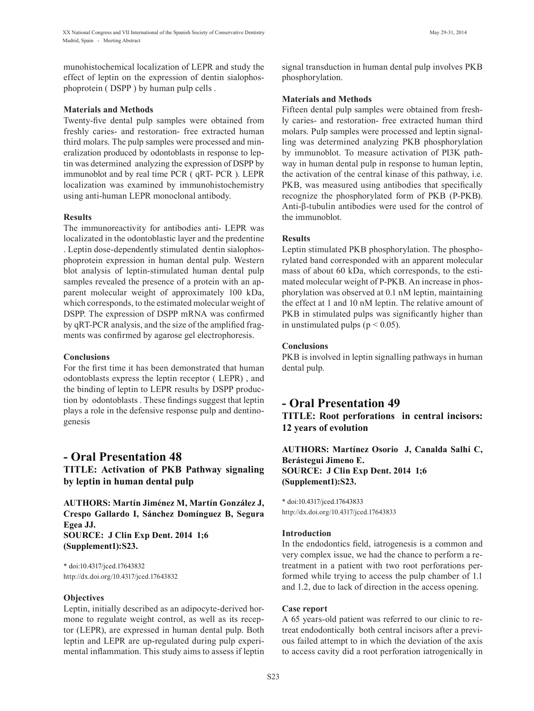munohistochemical localization of LEPR and study the effect of leptin on the expression of dentin sialophosphoprotein ( DSPP ) by human pulp cells .

#### **Materials and Methods**

Twenty-five dental pulp samples were obtained from freshly caries- and restoration- free extracted human third molars. The pulp samples were processed and mineralization produced by odontoblasts in response to leptin was determined analyzing the expression of DSPP by immunoblot and by real time PCR ( qRT- PCR ). LEPR localization was examined by immunohistochemistry using anti-human LEPR monoclonal antibody.

### **Results**

The immunoreactivity for antibodies anti- LEPR was localizated in the odontoblastic layer and the predentine . Leptin dose-dependently stimulated dentin sialophosphoprotein expression in human dental pulp. Western blot analysis of leptin-stimulated human dental pulp samples revealed the presence of a protein with an apparent molecular weight of approximately 100 kDa, which corresponds, to the estimated molecular weight of DSPP. The expression of DSPP mRNA was confirmed by qRT-PCR analysis, and the size of the amplified fragments was confirmed by agarose gel electrophoresis.

### **Conclusions**

For the first time it has been demonstrated that human odontoblasts express the leptin receptor ( LEPR) , and the binding of leptin to LEPR results by DSPP production by odontoblasts . These findings suggest that leptin plays a role in the defensive response pulp and dentinogenesis

## **- Oral Presentation 48**

**TITLE: Activation of PKB Pathway signaling by leptin in human dental pulp**

**AUTHORS: Martín Jiménez M, Martín González J, Crespo Gallardo I, Sánchez Domínguez B, Segura Egea JJ. SOURCE: J Clin Exp Dent. 2014 1;6 (Supplement1):S23.**

\* doi:10.4317/jced.17643832 http://dx.doi.org/10.4317/jced.17643832

## **Objectives**

Leptin, initially described as an adipocyte-derived hormone to regulate weight control, as well as its receptor (LEPR), are expressed in human dental pulp. Both leptin and LEPR are up-regulated during pulp experimental inflammation. This study aims to assess if leptin signal transduction in human dental pulp involves PKB phosphorylation.

### **Materials and Methods**

Fifteen dental pulp samples were obtained from freshly caries- and restoration- free extracted human third molars. Pulp samples were processed and leptin signalling was determined analyzing PKB phosphorylation by immunoblot. To measure activation of PI3K pathway in human dental pulp in response to human leptin, the activation of the central kinase of this pathway, i.e. PKB, was measured using antibodies that specifically recognize the phosphorylated form of PKB (P-PKB). Anti-β-tubulin antibodies were used for the control of the immunoblot.

## **Results**

Leptin stimulated PKB phosphorylation. The phosphorylated band corresponded with an apparent molecular mass of about 60 kDa, which corresponds, to the estimated molecular weight of P-PKB. An increase in phosphorylation was observed at 0.1 nM leptin, maintaining the effect at 1 and 10 nM leptin. The relative amount of PKB in stimulated pulps was significantly higher than in unstimulated pulps ( $p < 0.05$ ).

## **Conclusions**

PKB is involved in leptin signalling pathways in human dental pulp.

# **- Oral Presentation 49**

**TITLE: Root perforations in central incisors: 12 years of evolution**

## **AUTHORS: Martínez Osorio J, Canalda Salhi C, Berástegui Jimeno E. SOURCE: J Clin Exp Dent. 2014 1;6 (Supplement1):S23.**

\* doi:10.4317/jced.17643833 http://dx.doi.org/10.4317/jced.17643833

## **Introduction**

In the endodontics field, iatrogenesis is a common and very complex issue, we had the chance to perform a retreatment in a patient with two root perforations performed while trying to access the pulp chamber of 1.1 and 1.2, due to lack of direction in the access opening.

#### **Case report**

A 65 years-old patient was referred to our clinic to retreat endodontically both central incisors after a previous failed attempt to in which the deviation of the axis to access cavity did a root perforation iatrogenically in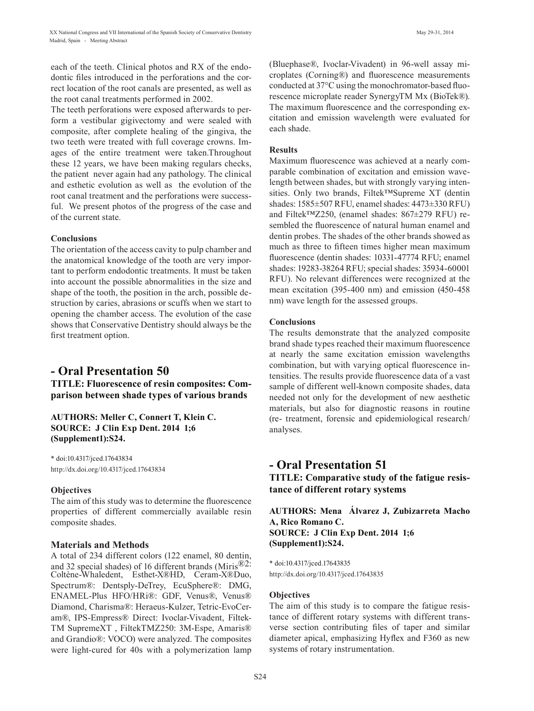each of the teeth. Clinical photos and RX of the endodontic files introduced in the perforations and the correct location of the root canals are presented, as well as the root canal treatments performed in 2002.

The teeth perforations were exposed afterwards to perform a vestibular gigivectomy and were sealed with composite, after complete healing of the gingiva, the two teeth were treated with full coverage crowns. Images of the entire treatment were taken.Throughout these 12 years, we have been making regulars checks, the patient never again had any pathology. The clinical and esthetic evolution as well as the evolution of the root canal treatment and the perforations were successful. We present photos of the progress of the case and of the current state.

#### **Conclusions**

The orientation of the access cavity to pulp chamber and the anatomical knowledge of the tooth are very important to perform endodontic treatments. It must be taken into account the possible abnormalities in the size and shape of the tooth, the position in the arch, possible destruction by caries, abrasions or scuffs when we start to opening the chamber access. The evolution of the case shows that Conservative Dentistry should always be the first treatment option.

## **- Oral Presentation 50**

**TITLE: Fluorescence of resin composites: Comparison between shade types of various brands**

**AUTHORS: Meller C, Connert T, Klein C. SOURCE: J Clin Exp Dent. 2014 1;6 (Supplement1):S24.**

\* doi:10.4317/jced.17643834 http://dx.doi.org/10.4317/jced.17643834

#### **Objectives**

The aim of this study was to determine the fluorescence properties of different commercially available resin composite shades.

#### **Materials and Methods**

A total of 234 different colors (122 enamel, 80 dentin, and 32 special shades) of 16 different brands (Miris®2: Coltène-Whaledent, Esthet-X®HD, Ceram-X®Duo, Spectrum®: Dentsply-DeTrey, EcuSphere®: DMG, ENAMEL-Plus HFO/HRi®: GDF, Venus®, Venus® Diamond, Charisma®: Heraeus-Kulzer, Tetric-EvoCeram®, IPS-Empress® Direct: Ivoclar-Vivadent, Filtek-TM SupremeXT , FiltekTMZ250: 3M-Espe, Amaris® and Grandio®: VOCO) were analyzed. The composites were light-cured for 40s with a polymerization lamp

(Bluephase®, Ivoclar-Vivadent) in 96-well assay microplates (Corning®) and fluorescence measurements conducted at 37°C using the monochromator-based fluorescence microplate reader SynergyTM Mx (BioTek®). The maximum fluorescence and the corresponding excitation and emission wavelength were evaluated for each shade.

### **Results**

Maximum fluorescence was achieved at a nearly comparable combination of excitation and emission wavelength between shades, but with strongly varying intensities. Only two brands, Filtek™Supreme XT (dentin shades: 1585±507 RFU, enamel shades: 4473±330 RFU) and Filtek™Z250, (enamel shades: 867±279 RFU) resembled the fluorescence of natural human enamel and dentin probes. The shades of the other brands showed as much as three to fifteen times higher mean maximum fluorescence (dentin shades: 10331-47774 RFU; enamel shades: 19283-38264 RFU; special shades: 35934-60001 RFU). No relevant differences were recognized at the mean excitation (395-400 nm) and emission (450-458 nm) wave length for the assessed groups.

#### **Conclusions**

The results demonstrate that the analyzed composite brand shade types reached their maximum fluorescence at nearly the same excitation emission wavelengths combination, but with varying optical fluorescence intensities. The results provide fluorescence data of a vast sample of different well-known composite shades, data needed not only for the development of new aesthetic materials, but also for diagnostic reasons in routine (re- treatment, forensic and epidemiological research/ analyses.

## **- Oral Presentation 51 TITLE: Comparative study of the fatigue resistance of different rotary systems**

**AUTHORS: Mena Álvarez J, Zubizarreta Macho A, Rico Romano C. SOURCE: J Clin Exp Dent. 2014 1;6 (Supplement1):S24.**

\* doi:10.4317/jced.17643835 http://dx.doi.org/10.4317/jced.17643835

#### **Objectives**

The aim of this study is to compare the fatigue resistance of different rotary systems with different transverse section contributing files of taper and similar diameter apical, emphasizing Hyflex and F360 as new systems of rotary instrumentation.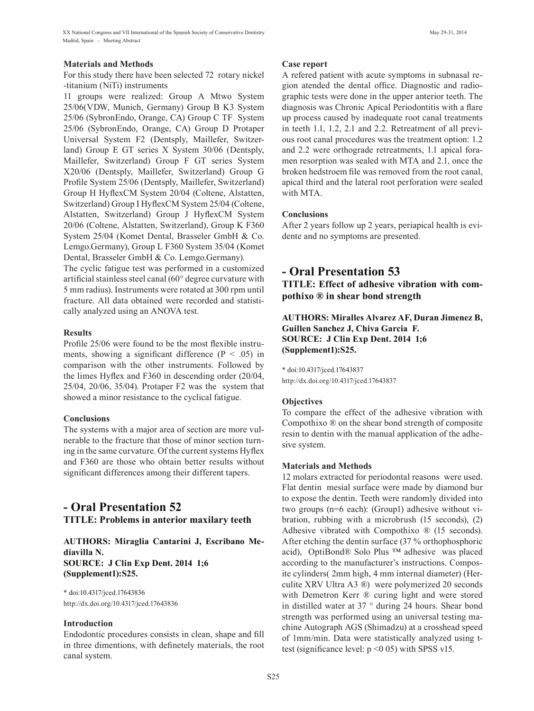### **Materials and Methods**

For this study there have been selected 72 rotary nickel -titanium (NiTi) instruments

11 groups were realized: Group A Mtwo System 25/06(VDW, Munich, Germany) Group B K3 System 25/06 (SybronEndo, Orange, CA) Group C TF System 25/06 (SybronEndo, Orange, CA) Group D Protaper Universal System F2 (Dentsply, Maillefer, Switzerland) Group E GT series X System 30/06 (Dentsply, Maillefer, Switzerland) Group F GT series System X20/06 (Dentsply, Maillefer, Switzerland) Group G Profile System 25/06 (Dentsply, Maillefer, Switzerland) Group H HyflexCM System 20/04 (Coltene, Alstatten, Switzerland) Group I HyflexCM System 25/04 (Coltene, Alstatten, Switzerland) Group J HyflexCM System 20/06 (Coltene, Alstatten, Switzerland), Group K F360 System 25/04 (Komet Dental, Brasseler GmbH & Co. Lemgo.Germany), Group L F360 System 35/04 (Komet Dental, Brasseler GmbH & Co. Lemgo.Germany).

The cyclic fatigue test was performed in a customized artificial stainless steel canal (60° degree curvature with 5 mm radius). Instruments were rotated at 300 rpm until fracture. All data obtained were recorded and statistically analyzed using an ANOVA test.

### **Results**

Profile 25/06 were found to be the most flexible instruments, showing a significant difference ( $P < .05$ ) in comparison with the other instruments. Followed by the limes Hyflex and F360 in descending order (20/04, 25/04, 20/06, 35/04). Protaper F2 was the system that showed a minor resistance to the cyclical fatigue.

#### **Conclusions**

The systems with a major area of section are more vulnerable to the fracture that those of minor section turning in the same curvature. Of the current systems Hyflex and F360 are those who obtain better results without significant differences among their different tapers.

## **- Oral Presentation 52 TITLE: Problems in anterior maxilary teeth**

**AUTHORS: Miraglia Cantarini J, Escribano Mediavilla N. SOURCE: J Clin Exp Dent. 2014 1;6 (Supplement1):S25.**

\* doi:10.4317/jced.17643836 http://dx.doi.org/10.4317/jced.17643836

## **Introduction**

Endodontic procedures consists in clean, shape and fill in three dimentions, with definetely materials, the root canal system.

### **Case report**

A refered patient with acute symptoms in subnasal region atended the dental office. Diagnostic and radiographic tests were done in the upper anterior teeth. The diagnosis was Chronic Apical Periodontitis with a flare up process caused by inadequate root canal treatments in teeth 1.1, 1.2, 2.1 and 2.2. Retreatment of all previous root canal procedures was the treatment option: 1.2 and 2.2 were orthograde retreatments, 1.1 apical foramen resorption was sealed with MTA and 2.1, once the broken hedstroem file was removed from the root canal, apical third and the lateral root perforation were sealed with MTA.

## **Conclusions**

After 2 years follow up 2 years, periapical health is evidente and no symptoms are presented.

## **- Oral Presentation 53 TITLE: Effect of adhesive vibration with com-**

**pothixo ® in shear bond strength**

## **AUTHORS: Miralles Alvarez AF, Duran Jimenez B, Guillen Sanchez J, Chiva Garcia F. SOURCE: J Clin Exp Dent. 2014 1;6 (Supplement1):S25.**

\* doi:10.4317/jced.17643837 http://dx.doi.org/10.4317/jced.17643837

## **Objectives**

To compare the effect of the adhesive vibration with Compothixo ® on the shear bond strength of composite resin to dentin with the manual application of the adhesive system.

#### **Materials and Methods**

12 molars extracted for periodontal reasons were used. Flat dentin mesial surface were made by diamond bur to expose the dentin. Teeth were randomly divided into two groups (n=6 each): (Group1) adhesive without vibration, rubbing with a microbrush (15 seconds), (2) Adhesive vibrated with Compothixo ® (15 seconds). After etching the dentin surface (37 % orthophosphoric acid), OptiBond® Solo Plus ™ adhesive was placed according to the manufacturer's instructions. Composite cylinders( 2mm high, 4 mm internal diameter) (Herculite XRV Ultra A3 ®) were polymerized 20 seconds with Demetron Kerr ® curing light and were stored in distilled water at 37 ° during 24 hours. Shear bond strength was performed using an universal testing machine Autograph AGS (Shimadzu) at a crosshead speed of 1mm/min. Data were statistically analyzed using ttest (significance level:  $p \le 0$  05) with SPSS v15.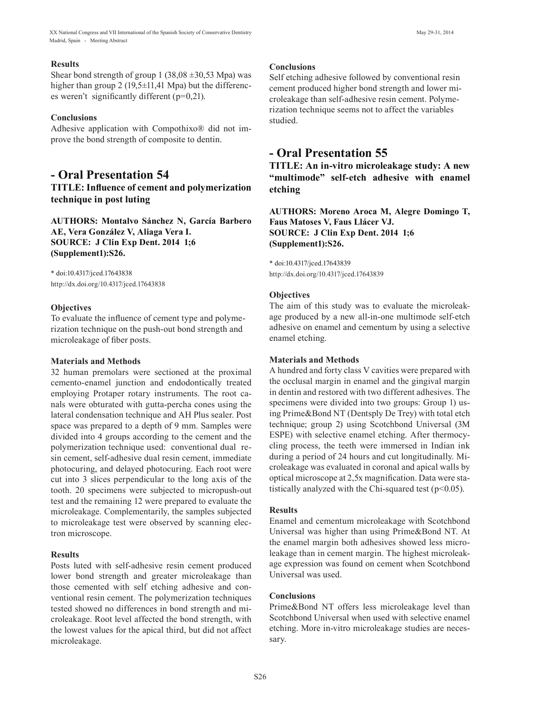## **Results**

Shear bond strength of group 1 (38,08  $\pm$ 30,53 Mpa) was higher than group 2 (19,5±11,41 Mpa) but the differences weren't significantly different (p=0,21).

## **Conclusions**

Adhesive application with Compothixo® did not improve the bond strength of composite to dentin.

## **- Oral Presentation 54**

**TITLE: Influence of cement and polymerization technique in post luting**

**AUTHORS: Montalvo Sánchez N, García Barbero AE, Vera González V, Aliaga Vera I. SOURCE: J Clin Exp Dent. 2014 1;6 (Supplement1):S26.**

\* doi:10.4317/jced.17643838 http://dx.doi.org/10.4317/jced.17643838

## **Objectives**

To evaluate the influence of cement type and polymerization technique on the push-out bond strength and microleakage of fiber posts.

## **Materials and Methods**

32 human premolars were sectioned at the proximal cemento-enamel junction and endodontically treated employing Protaper rotary instruments. The root canals were obturated with gutta-percha cones using the lateral condensation technique and AH Plus sealer. Post space was prepared to a depth of 9 mm. Samples were divided into 4 groups according to the cement and the polymerization technique used: conventional dual resin cement, self-adhesive dual resin cement, immediate photocuring, and delayed photocuring. Each root were cut into 3 slices perpendicular to the long axis of the tooth. 20 specimens were subjected to micropush-out test and the remaining 12 were prepared to evaluate the microleakage. Complementarily, the samples subjected to microleakage test were observed by scanning electron microscope.

## **Results**

Posts luted with self-adhesive resin cement produced lower bond strength and greater microleakage than those cemented with self etching adhesive and conventional resin cement. The polymerization techniques tested showed no differences in bond strength and microleakage. Root level affected the bond strength, with the lowest values for the apical third, but did not affect microleakage.

## **Conclusions**

Self etching adhesive followed by conventional resin cement produced higher bond strength and lower microleakage than self-adhesive resin cement. Polymerization technique seems not to affect the variables studied.

## **- Oral Presentation 55**

**TITLE: An in-vitro microleakage study: A new "multimode" self-etch adhesive with enamel etching**

**AUTHORS: Moreno Aroca M, Alegre Domingo T, Faus Matoses V, Faus Llácer VJ. SOURCE: J Clin Exp Dent. 2014 1;6 (Supplement1):S26.**

\* doi:10.4317/jced.17643839 http://dx.doi.org/10.4317/jced.17643839

## **Objectives**

The aim of this study was to evaluate the microleakage produced by a new all-in-one multimode self-etch adhesive on enamel and cementum by using a selective enamel etching.

## **Materials and Methods**

A hundred and forty class V cavities were prepared with the occlusal margin in enamel and the gingival margin in dentin and restored with two different adhesives. The specimens were divided into two groups: Group 1) using Prime&Bond NT (Dentsply De Trey) with total etch technique; group 2) using Scotchbond Universal (3M ESPE) with selective enamel etching. After thermocycling process, the teeth were immersed in Indian ink during a period of 24 hours and cut longitudinally. Microleakage was evaluated in coronal and apical walls by optical microscope at 2,5x magnification. Data were statistically analyzed with the Chi-squared test ( $p<0.05$ ).

## **Results**

Enamel and cementum microleakage with Scotchbond Universal was higher than using Prime&Bond NT. At the enamel margin both adhesives showed less microleakage than in cement margin. The highest microleakage expression was found on cement when Scotchbond Universal was used.

## **Conclusions**

Prime&Bond NT offers less microleakage level than Scotchbond Universal when used with selective enamel etching. More in-vitro microleakage studies are necessary.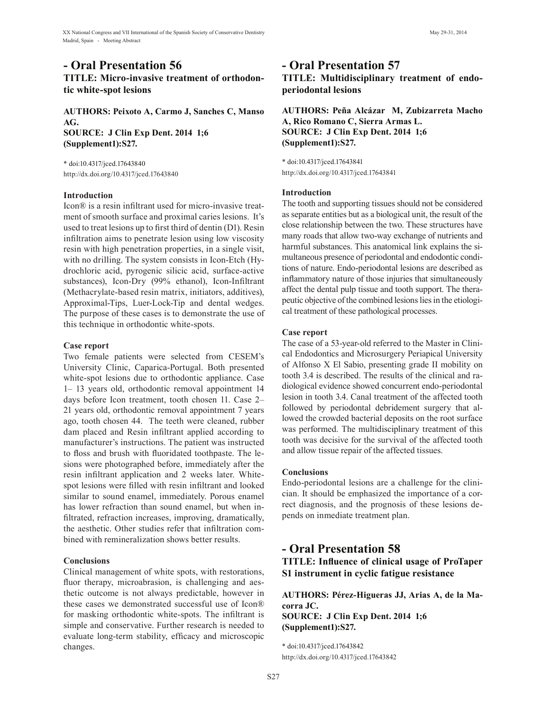## **- Oral Presentation 56 TITLE: Micro-invasive treatment of orthodontic white-spot lesions**

**AUTHORS: Peixoto A, Carmo J, Sanches C, Manso AG. SOURCE: J Clin Exp Dent. 2014 1;6 (Supplement1):S27.**

\* doi:10.4317/jced.17643840 http://dx.doi.org/10.4317/jced.17643840

#### **Introduction**

Icon® is a resin infiltrant used for micro-invasive treatment of smooth surface and proximal caries lesions. It's used to treat lesions up to first third of dentin (D1). Resin infiltration aims to penetrate lesion using low viscosity resin with high penetration properties, in a single visit, with no drilling. The system consists in Icon-Etch (Hydrochloric acid, pyrogenic silicic acid, surface-active substances), Icon-Dry (99% ethanol), Icon-Infiltrant (Methacrylate-based resin matrix, initiators, additives), Approximal-Tips, Luer-Lock-Tip and dental wedges. The purpose of these cases is to demonstrate the use of this technique in orthodontic white-spots.

#### **Case report**

Two female patients were selected from CESEM's University Clinic, Caparica-Portugal. Both presented white-spot lesions due to orthodontic appliance. Case 1– 13 years old, orthodontic removal appointment 14 days before Icon treatment, tooth chosen 11. Case 2– 21 years old, orthodontic removal appointment 7 years ago, tooth chosen 44. The teeth were cleaned, rubber dam placed and Resin infiltrant applied according to manufacturer's instructions. The patient was instructed to floss and brush with fluoridated toothpaste. The lesions were photographed before, immediately after the resin infiltrant application and 2 weeks later. Whitespot lesions were filled with resin infiltrant and looked similar to sound enamel, immediately. Porous enamel has lower refraction than sound enamel, but when infiltrated, refraction increases, improving, dramatically, the aesthetic. Other studies refer that infiltration combined with remineralization shows better results.

#### **Conclusions**

Clinical management of white spots, with restorations, fluor therapy, microabrasion, is challenging and aesthetic outcome is not always predictable, however in these cases we demonstrated successful use of Icon® for masking orthodontic white-spots. The infiltrant is simple and conservative. Further research is needed to evaluate long-term stability, efficacy and microscopic changes.

## **- Oral Presentation 57 TITLE: Multidisciplinary treatment of endoperiodontal lesions**

## **AUTHORS: Peña Alcázar M, Zubizarreta Macho A, Rico Romano C, Sierra Armas L. SOURCE: J Clin Exp Dent. 2014 1;6 (Supplement1):S27.**

\* doi:10.4317/jced.17643841 http://dx.doi.org/10.4317/jced.17643841

#### **Introduction**

The tooth and supporting tissues should not be considered as separate entities but as a biological unit, the result of the close relationship between the two. These structures have many roads that allow two-way exchange of nutrients and harmful substances. This anatomical link explains the simultaneous presence of periodontal and endodontic conditions of nature. Endo-periodontal lesions are described as inflammatory nature of those injuries that simultaneously affect the dental pulp tissue and tooth support. The therapeutic objective of the combined lesions lies in the etiological treatment of these pathological processes.

#### **Case report**

The case of a 53-year-old referred to the Master in Clinical Endodontics and Microsurgery Periapical University of Alfonso X El Sabio, presenting grade II mobility on tooth 3.4 is described. The results of the clinical and radiological evidence showed concurrent endo-periodontal lesion in tooth 3.4. Canal treatment of the affected tooth followed by periodontal debridement surgery that allowed the crowded bacterial deposits on the root surface was performed. The multidisciplinary treatment of this tooth was decisive for the survival of the affected tooth and allow tissue repair of the affected tissues.

#### **Conclusions**

Endo-periodontal lesions are a challenge for the clinician. It should be emphasized the importance of a correct diagnosis, and the prognosis of these lesions depends on inmediate treatment plan.

## **- Oral Presentation 58**

**TITLE: Influence of clinical usage of ProTaper S1 instrument in cyclic fatigue resistance**

**AUTHORS: Pérez-Higueras JJ, Arias A, de la Macorra JC. SOURCE: J Clin Exp Dent. 2014 1;6 (Supplement1):S27.**

\* doi:10.4317/jced.17643842 http://dx.doi.org/10.4317/jced.17643842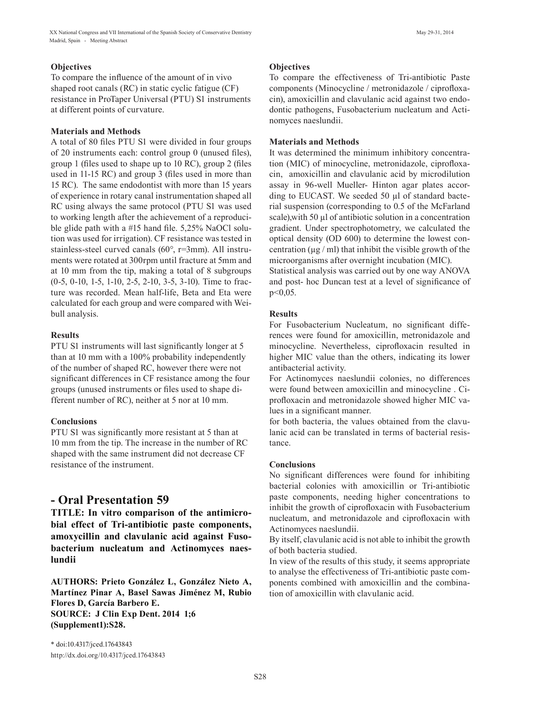To compare the influence of the amount of in vivo shaped root canals (RC) in static cyclic fatigue (CF) resistance in ProTaper Universal (PTU) S1 instruments at different points of curvature.

## **Materials and Methods**

A total of 80 files PTU S1 were divided in four groups of 20 instruments each: control group 0 (unused files), group 1 (files used to shape up to 10 RC), group 2 (files used in 11-15 RC) and group 3 (files used in more than 15 RC). The same endodontist with more than 15 years of experience in rotary canal instrumentation shaped all RC using always the same protocol (PTU S1 was used to working length after the achievement of a reproducible glide path with a #15 hand file. 5,25% NaOCl solution was used for irrigation). CF resistance was tested in stainless-steel curved canals (60°, r=3mm). All instruments were rotated at 300rpm until fracture at 5mm and at 10 mm from the tip, making a total of 8 subgroups (0-5, 0-10, 1-5, 1-10, 2-5, 2-10, 3-5, 3-10). Time to fracture was recorded. Mean half-life, Beta and Eta were calculated for each group and were compared with Weibull analysis.

## **Results**

PTU S1 instruments will last significantly longer at 5 than at 10 mm with a 100% probability independently of the number of shaped RC, however there were not significant differences in CF resistance among the four groups (unused instruments or files used to shape different number of RC), neither at 5 nor at 10 mm.

## **Conclusions**

PTU S1 was significantly more resistant at 5 than at 10 mm from the tip. The increase in the number of RC shaped with the same instrument did not decrease CF resistance of the instrument.

## **- Oral Presentation 59**

**TITLE: In vitro comparison of the antimicrobial effect of Tri-antibiotic paste components, amoxycillin and clavulanic acid against Fusobacterium nucleatum and Actinomyces naeslundii**

**AUTHORS: Prieto González L, González Nieto A, Martínez Pinar A, Basel Sawas Jiménez M, Rubio Flores D, García Barbero E. SOURCE: J Clin Exp Dent. 2014 1;6 (Supplement1):S28.**

\* doi:10.4317/jced.17643843 http://dx.doi.org/10.4317/jced.17643843

## **Objectives**

To compare the effectiveness of Tri-antibiotic Paste components (Minocycline / metronidazole / ciprofloxacin), amoxicillin and clavulanic acid against two endodontic pathogens, Fusobacterium nucleatum and Actinomyces naeslundii.

## **Materials and Methods**

It was determined the minimum inhibitory concentration (MIC) of minocycline, metronidazole, ciprofloxacin, amoxicillin and clavulanic acid by microdilution assay in 96-well Mueller- Hinton agar plates according to EUCAST. We seeded 50 µl of standard bacterial suspension (corresponding to 0.5 of the McFarland scale), with 50  $\mu$ l of antibiotic solution in a concentration gradient. Under spectrophotometry, we calculated the optical density (OD 600) to determine the lowest concentration ( $\mu$ g / ml) that inhibit the visible growth of the microorganisms after overnight incubation (MIC).

Statistical analysis was carried out by one way ANOVA and post- hoc Duncan test at a level of significance of p<0,05.

## **Results**

For Fusobacterium Nucleatum, no significant differences were found for amoxicillin, metronidazole and minocycline. Nevertheless, ciprofloxacin resulted in higher MIC value than the others, indicating its lower antibacterial activity.

For Actinomyces naeslundii colonies, no differences were found between amoxicillin and minocycline . Ciprofloxacin and metronidazole showed higher MIC values in a significant manner.

for both bacteria, the values obtained from the clavulanic acid can be translated in terms of bacterial resistance.

## **Conclusions**

No significant differences were found for inhibiting bacterial colonies with amoxicillin or Tri-antibiotic paste components, needing higher concentrations to inhibit the growth of ciprofloxacin with Fusobacterium nucleatum, and metronidazole and ciprofloxacin with Actinomyces naeslundii.

By itself, clavulanic acid is not able to inhibit the growth of both bacteria studied.

In view of the results of this study, it seems appropriate to analyse the effectiveness of Tri-antibiotic paste components combined with amoxicillin and the combination of amoxicillin with clavulanic acid.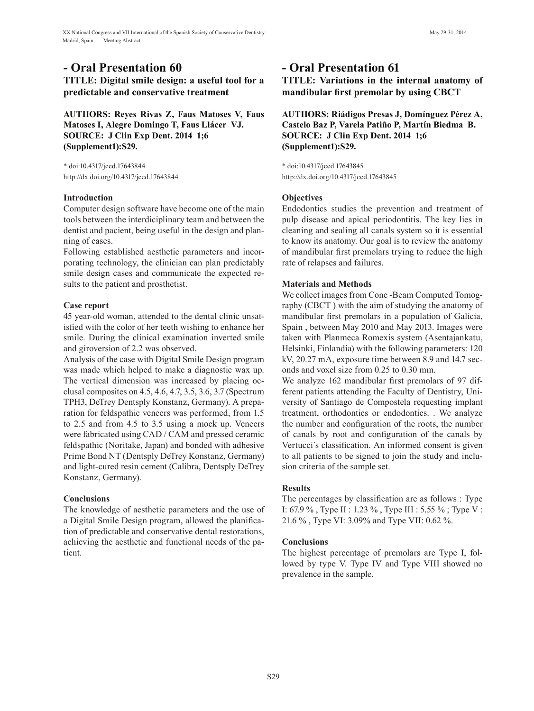# **- Oral Presentation 60**

**TITLE: Digital smile design: a useful tool for a predictable and conservative treatment**

**AUTHORS: Reyes Rivas Z, Faus Matoses V, Faus Matoses I, Alegre Domingo T, Faus Llácer VJ. SOURCE: J Clin Exp Dent. 2014 1;6 (Supplement1):S29.**

\* doi:10.4317/jced.17643844 http://dx.doi.org/10.4317/jced.17643844

#### **Introduction**

Computer design software have become one of the main tools between the interdiciplinary team and between the dentist and pacient, being useful in the design and planning of cases.

Following established aesthetic parameters and incorporating technology, the clinician can plan predictably smile design cases and communicate the expected results to the patient and prosthetist.

## **Case report**

45 year-old woman, attended to the dental clinic unsatisfied with the color of her teeth wishing to enhance her smile. During the clinical examination inverted smile and giroversion of 2.2 was observed.

Analysis of the case with Digital Smile Design program was made which helped to make a diagnostic wax up. The vertical dimension was increased by placing occlusal composites on 4.5, 4.6, 4.7, 3.5, 3.6, 3.7 (Spectrum TPH3, DeTrey Dentsply Konstanz, Germany). A preparation for feldspathic veneers was performed, from 1.5 to 2.5 and from 4.5 to 3.5 using a mock up. Veneers were fabricated using CAD / CAM and pressed ceramic feldspathic (Noritake, Japan) and bonded with adhesive Prime Bond NT (Dentsply DeTrey Konstanz, Germany) and light-cured resin cement (Calibra, Dentsply DeTrey Konstanz, Germany).

## **Conclusions**

The knowledge of aesthetic parameters and the use of a Digital Smile Design program, allowed the planification of predictable and conservative dental restorations, achieving the aesthetic and functional needs of the patient.

## **- Oral Presentation 61**

**TITLE: Variations in the internal anatomy of mandibular first premolar by using CBCT**

**AUTHORS: Riádigos Presas J, Domínguez Pérez A, Castelo Baz P, Varela Patiño P, Martín Biedma B. SOURCE: J Clin Exp Dent. 2014 1;6 (Supplement1):S29.**

\* doi:10.4317/jced.17643845 http://dx.doi.org/10.4317/jced.17643845

### **Objectives**

Endodontics studies the prevention and treatment of pulp disease and apical periodontitis. The key lies in cleaning and sealing all canals system so it is essential to know its anatomy. Our goal is to review the anatomy of mandibular first premolars trying to reduce the high rate of relapses and failures.

## **Materials and Methods**

We collect images from Cone -Beam Computed Tomography (CBCT ) with the aim of studying the anatomy of mandibular first premolars in a population of Galicia, Spain , between May 2010 and May 2013. Images were taken with Planmeca Romexis system (Asentajankatu, Helsinki, Finlandia) with the following parameters: 120 kV, 20.27 mA, exposure time between 8.9 and 14.7 seconds and voxel size from 0.25 to 0.30 mm.

We analyze 162 mandibular first premolars of 97 different patients attending the Faculty of Dentistry, University of Santiago de Compostela requesting implant treatment, orthodontics or endodontics. . We analyze the number and configuration of the roots, the number of canals by root and configuration of the canals by Vertucci´s classification. An informed consent is given to all patients to be signed to join the study and inclusion criteria of the sample set.

## **Results**

The percentages by classification are as follows : Type I: 67.9 % , Type II : 1.23 % , Type III : 5.55 % ; Type V : 21.6 % , Type VI: 3.09% and Type VII: 0.62 %.

## **Conclusions**

The highest percentage of premolars are Type I, followed by type V. Type IV and Type VIII showed no prevalence in the sample.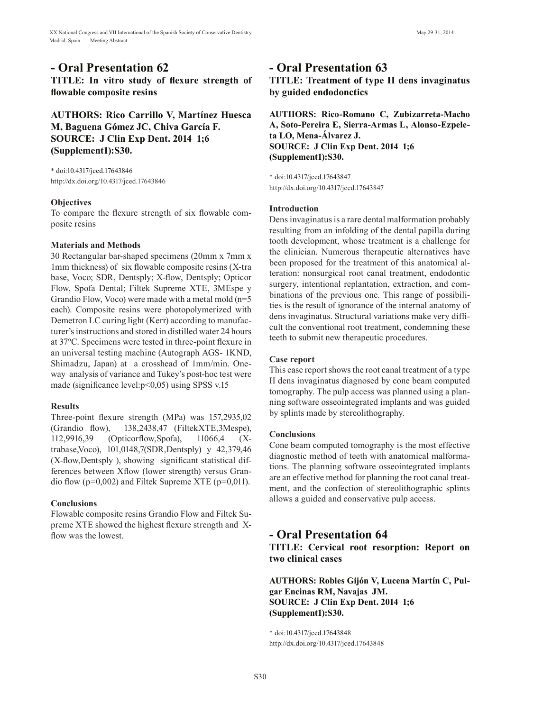## **- Oral Presentation 62**

**TITLE: In vitro study of flexure strength of flowable composite resins**

## **AUTHORS: Rico Carrillo V, Martínez Huesca M, Baguena Gómez JC, Chiva García F. SOURCE: J Clin Exp Dent. 2014 1;6 (Supplement1):S30.**

\* doi:10.4317/jced.17643846 http://dx.doi.org/10.4317/jced.17643846

#### **Objectives**

To compare the flexure strength of six flowable composite resins

#### **Materials and Methods**

30 Rectangular bar-shaped specimens (20mm x 7mm x 1mm thickness) of six flowable composite resins (X-tra base, Voco; SDR, Dentsply; X-flow, Dentsply; Opticor Flow, Spofa Dental; Filtek Supreme XTE, 3MEspe y Grandio Flow, Voco) were made with a metal mold (n=5 each). Composite resins were photopolymerized with Demetron LC curing light (Kerr) according to manufacturer's instructions and stored in distilled water 24 hours at 37ºC. Specimens were tested in three-point flexure in an universal testing machine (Autograph AGS- 1KND, Shimadzu, Japan) at a crosshead of 1mm/min. Oneway analysis of variance and Tukey's post-hoc test were made (significance level:p<0,05) using SPSS v.15

#### **Results**

Three-point flexure strength (MPa) was 157,2935,02 (Grandio flow), 138,2438,47 (FiltekXTE,3Mespe), 112,9916,39 (Opticorflow,Spofa), 11066,4 (Xtrabase,Voco), 101,0148,7(SDR,Dentsply) y 42,379,46 (X-flow,Dentsply ), showing significant statistical differences between Xflow (lower strength) versus Grandio flow ( $p=0,002$ ) and Filtek Supreme XTE ( $p=0,011$ ).

## **Conclusions**

Flowable composite resins Grandio Flow and Filtek Supreme XTE showed the highest flexure strength and Xflow was the lowest.

## **- Oral Presentation 63**

**TITLE: Treatment of type II dens invaginatus by guided endodonctics**

**AUTHORS: Rico-Romano C, Zubizarreta-Macho A, Soto-Pereira E, Sierra-Armas L, Alonso-Ezpeleta LO, Mena-Álvarez J. SOURCE: J Clin Exp Dent. 2014 1;6 (Supplement1):S30.**

\* doi:10.4317/jced.17643847 http://dx.doi.org/10.4317/jced.17643847

#### **Introduction**

Dens invaginatus is a rare dental malformation probably resulting from an infolding of the dental papilla during tooth development, whose treatment is a challenge for the clinician. Numerous therapeutic alternatives have been proposed for the treatment of this anatomical alteration: nonsurgical root canal treatment, endodontic surgery, intentional replantation, extraction, and combinations of the previous one. This range of possibilities is the result of ignorance of the internal anatomy of dens invaginatus. Structural variations make very difficult the conventional root treatment, condemning these teeth to submit new therapeutic procedures.

#### **Case report**

This case report shows the root canal treatment of a type II dens invaginatus diagnosed by cone beam computed tomography. The pulp access was planned using a planning software osseointegrated implants and was guided by splints made by stereolithography.

#### **Conclusions**

Cone beam computed tomography is the most effective diagnostic method of teeth with anatomical malformations. The planning software osseointegrated implants are an effective method for planning the root canal treatment, and the confection of stereolithographic splints allows a guided and conservative pulp access.

## **- Oral Presentation 64**

**TITLE: Cervical root resorption: Report on two clinical cases**

**AUTHORS: Robles Gijón V, Lucena Martín C, Pulgar Encinas RM, Navajas JM. SOURCE: J Clin Exp Dent. 2014 1;6 (Supplement1):S30.**

\* doi:10.4317/jced.17643848 http://dx.doi.org/10.4317/jced.17643848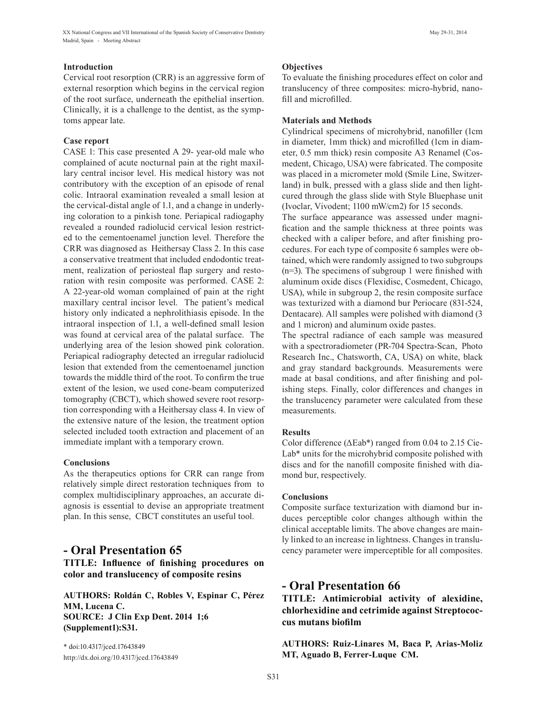#### **Introduction**

Cervical root resorption (CRR) is an aggressive form of external resorption which begins in the cervical region of the root surface, underneath the epithelial insertion. Clinically, it is a challenge to the dentist, as the symptoms appear late.

### **Case report**

CASE 1: This case presented A 29- year-old male who complained of acute nocturnal pain at the right maxillary central incisor level. His medical history was not contributory with the exception of an episode of renal colic. Intraoral examination revealed a small lesion at the cervical-distal angle of 1.1, and a change in underlying coloration to a pinkish tone. Periapical radiogaphy revealed a rounded radiolucid cervical lesion restricted to the cementoenamel junction level. Therefore the CRR was diagnosed as Heithersay Class 2. In this case a conservative treatment that included endodontic treatment, realization of periosteal flap surgery and restoration with resin composite was performed. CASE 2: A 22-year-old woman complained of pain at the right maxillary central incisor level. The patient's medical history only indicated a nephrolithiasis episode. In the intraoral inspection of 1.1, a well-defined small lesion was found at cervical area of the palatal surface. The underlying area of the lesion showed pink coloration. Periapical radiography detected an irregular radiolucid lesion that extended from the cementoenamel junction towards the middle third of the root. To confirm the true extent of the lesion, we used cone-beam computerized tomography (CBCT), which showed severe root resorption corresponding with a Heithersay class 4. In view of the extensive nature of the lesion, the treatment option selected included tooth extraction and placement of an immediate implant with a temporary crown.

#### **Conclusions**

As the therapeutics options for CRR can range from relatively simple direct restoration techniques from to complex multidisciplinary approaches, an accurate diagnosis is essential to devise an appropriate treatment plan. In this sense, CBCT constitutes an useful tool.

## **- Oral Presentation 65**

**TITLE: Influence of finishing procedures on color and translucency of composite resins**

**AUTHORS: Roldán C, Robles V, Espinar C, Pérez MM, Lucena C. SOURCE: J Clin Exp Dent. 2014 1;6 (Supplement1):S31.**

\* doi:10.4317/jced.17643849 http://dx.doi.org/10.4317/jced.17643849

### **Objectives**

To evaluate the finishing procedures effect on color and translucency of three composites: micro-hybrid, nanofill and microfilled.

## **Materials and Methods**

Cylindrical specimens of microhybrid, nanofiller (1cm in diameter, 1mm thick) and microfilled (1cm in diameter, 0.5 mm thick) resin composite A3 Renamel (Cosmedent, Chicago, USA) were fabricated. The composite was placed in a micrometer mold (Smile Line, Switzerland) in bulk, pressed with a glass slide and then lightcured through the glass slide with Style Bluephase unit (Ivoclar, Vivodent; 1100 mW/cm2) for 15 seconds.

The surface appearance was assessed under magnification and the sample thickness at three points was checked with a caliper before, and after finishing procedures. For each type of composite 6 samples were obtained, which were randomly assigned to two subgroups (n=3). The specimens of subgroup 1 were finished with aluminum oxide discs (Flexidisc, Cosmedent, Chicago, USA), while in subgroup 2, the resin composite surface was texturized with a diamond bur Periocare (831-524, Dentacare). All samples were polished with diamond (3 and 1 micron) and aluminum oxide pastes.

The spectral radiance of each sample was measured with a spectroradiometer (PR-704 Spectra-Scan, Photo Research Inc., Chatsworth, CA, USA) on white, black and gray standard backgrounds. Measurements were made at basal conditions, and after finishing and polishing steps. Finally, color differences and changes in the translucency parameter were calculated from these measurements.

## **Results**

Color difference (ΔΕab\*) ranged from 0.04 to 2.15 Cie-Lab\* units for the microhybrid composite polished with discs and for the nanofill composite finished with diamond bur, respectively.

## **Conclusions**

Composite surface texturization with diamond bur induces perceptible color changes although within the clinical acceptable limits. The above changes are mainly linked to an increase in lightness. Changes in translucency parameter were imperceptible for all composites.

## **- Oral Presentation 66**

**TITLE: Antimicrobial activity of alexidine, chlorhexidine and cetrimide against Streptococcus mutans biofilm**

**AUTHORS: Ruiz-Linares M, Baca P, Arias-Moliz MT, Aguado B, Ferrer-Luque CM.**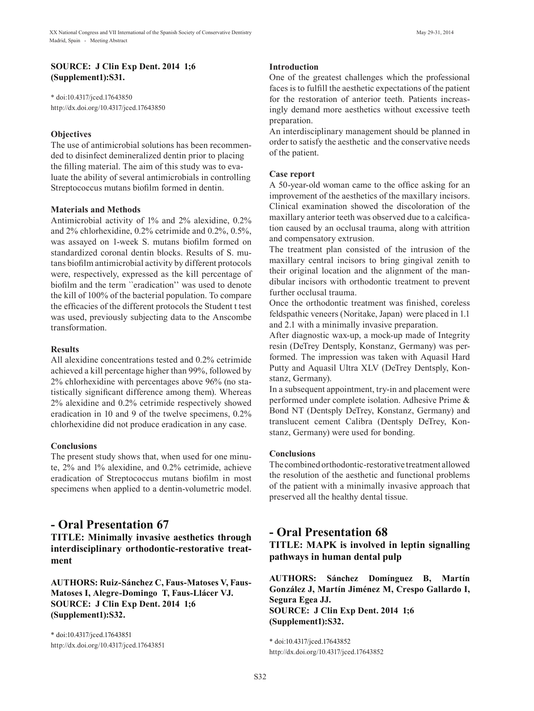### **SOURCE: J Clin Exp Dent. 2014 1;6 (Supplement1):S31.**

\* doi:10.4317/jced.17643850 http://dx.doi.org/10.4317/jced.17643850

## **Objectives**

The use of antimicrobial solutions has been recommended to disinfect demineralized dentin prior to placing the filling material. The aim of this study was to evaluate the ability of several antimicrobials in controlling Streptococcus mutans biofilm formed in dentin.

### **Materials and Methods**

Antimicrobial activity of 1% and 2% alexidine, 0.2% and 2% chlorhexidine, 0.2% cetrimide and 0.2%, 0.5%, was assayed on 1-week S. mutans biofilm formed on standardized coronal dentin blocks. Results of S. mutans biofilm antimicrobial activity by different protocols were, respectively, expressed as the kill percentage of biofilm and the term ``eradication'' was used to denote the kill of 100% of the bacterial population. To compare the efficacies of the different protocols the Student t test was used, previously subjecting data to the Anscombe transformation.

### **Results**

All alexidine concentrations tested and 0.2% cetrimide achieved a kill percentage higher than 99%, followed by 2% chlorhexidine with percentages above 96% (no statistically significant difference among them). Whereas 2% alexidine and 0.2% cetrimide respectively showed eradication in 10 and 9 of the twelve specimens, 0.2% chlorhexidine did not produce eradication in any case.

## **Conclusions**

The present study shows that, when used for one minute, 2% and 1% alexidine, and 0.2% cetrimide, achieve eradication of Streptococcus mutans biofilm in most specimens when applied to a dentin-volumetric model.

## **- Oral Presentation 67**

**TITLE: Minimally invasive aesthetics through interdisciplinary orthodontic-restorative treatment**

**AUTHORS: Ruiz-Sánchez C, Faus-Matoses V, Faus-Matoses I, Alegre-Domingo T, Faus-Llácer VJ. SOURCE: J Clin Exp Dent. 2014 1;6 (Supplement1):S32.**

\* doi:10.4317/jced.17643851 http://dx.doi.org/10.4317/jced.17643851

#### **Introduction**

One of the greatest challenges which the professional faces is to fulfill the aesthetic expectations of the patient for the restoration of anterior teeth. Patients increasingly demand more aesthetics without excessive teeth preparation.

An interdisciplinary management should be planned in order to satisfy the aesthetic and the conservative needs of the patient.

### **Case report**

A 50-year-old woman came to the office asking for an improvement of the aesthetics of the maxillary incisors. Clinical examination showed the discoloration of the maxillary anterior teeth was observed due to a calcification caused by an occlusal trauma, along with attrition and compensatory extrusion.

The treatment plan consisted of the intrusion of the maxillary central incisors to bring gingival zenith to their original location and the alignment of the mandibular incisors with orthodontic treatment to prevent further occlusal trauma.

Once the orthodontic treatment was finished, coreless feldspathic veneers (Noritake, Japan) were placed in 1.1 and 2.1 with a minimally invasive preparation.

After diagnostic wax-up, a mock-up made of Integrity resin (DeTrey Dentsply, Konstanz, Germany) was performed. The impression was taken with Aquasil Hard Putty and Aquasil Ultra XLV (DeTrey Dentsply, Konstanz, Germany).

In a subsequent appointment, try-in and placement were performed under complete isolation. Adhesive Prime & Bond NT (Dentsply DeTrey, Konstanz, Germany) and translucent cement Calibra (Dentsply DeTrey, Konstanz, Germany) were used for bonding.

#### **Conclusions**

The combined orthodontic-restorative treatment allowed the resolution of the aesthetic and functional problems of the patient with a minimally invasive approach that preserved all the healthy dental tissue.

## **- Oral Presentation 68**

**TITLE: MAPK is involved in leptin signalling pathways in human dental pulp**

**AUTHORS: Sánchez Domínguez B, Martín González J, Martín Jiménez M, Crespo Gallardo I, Segura Egea JJ. SOURCE: J Clin Exp Dent. 2014 1;6 (Supplement1):S32.**

\* doi:10.4317/jced.17643852 http://dx.doi.org/10.4317/jced.17643852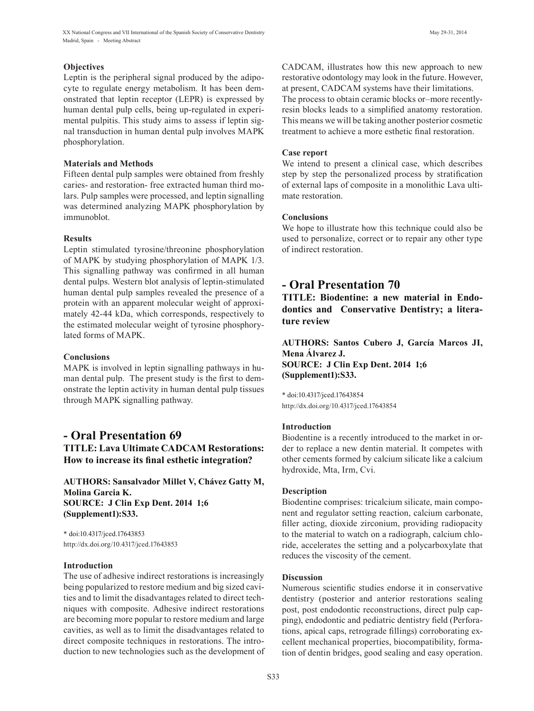XX National Congress and VII International of the Spanish Society of Conservative Dentistry May 29-31, 2014 Madrid, Spain - Meeting Abstract

#### **Objectives**

Leptin is the peripheral signal produced by the adipocyte to regulate energy metabolism. It has been demonstrated that leptin receptor (LEPR) is expressed by human dental pulp cells, being up-regulated in experimental pulpitis. This study aims to assess if leptin signal transduction in human dental pulp involves MAPK phosphorylation.

#### **Materials and Methods**

Fifteen dental pulp samples were obtained from freshly caries- and restoration- free extracted human third molars. Pulp samples were processed, and leptin signalling was determined analyzing MAPK phosphorylation by immunoblot.

#### **Results**

Leptin stimulated tyrosine/threonine phosphorylation of MAPK by studying phosphorylation of MAPK 1/3. This signalling pathway was confirmed in all human dental pulps. Western blot analysis of leptin-stimulated human dental pulp samples revealed the presence of a protein with an apparent molecular weight of approximately 42-44 kDa, which corresponds, respectively to the estimated molecular weight of tyrosine phosphorylated forms of MAPK.

#### **Conclusions**

MAPK is involved in leptin signalling pathways in human dental pulp. The present study is the first to demonstrate the leptin activity in human dental pulp tissues through MAPK signalling pathway.

## **- Oral Presentation 69 TITLE: Lava Ultimate CADCAM Restorations: How to increase its final esthetic integration?**

**AUTHORS: Sansalvador Millet V, Chávez Gatty M, Molina Garcia K. SOURCE: J Clin Exp Dent. 2014 1;6 (Supplement1):S33.**

\* doi:10.4317/jced.17643853 http://dx.doi.org/10.4317/jced.17643853

#### **Introduction**

The use of adhesive indirect restorations is increasingly being popularized to restore medium and big sized cavities and to limit the disadvantages related to direct techniques with composite. Adhesive indirect restorations are becoming more popular to restore medium and large cavities, as well as to limit the disadvantages related to direct composite techniques in restorations. The introduction to new technologies such as the development of CADCAM, illustrates how this new approach to new restorative odontology may look in the future. However, at present, CADCAM systems have their limitations. The process to obtain ceramic blocks or–more recentlyresin blocks leads to a simplified anatomy restoration. This means we will be taking another posterior cosmetic treatment to achieve a more esthetic final restoration.

#### **Case report**

We intend to present a clinical case, which describes step by step the personalized process by stratification of external laps of composite in a monolithic Lava ultimate restoration.

#### **Conclusions**

We hope to illustrate how this technique could also be used to personalize, correct or to repair any other type of indirect restoration.

## **- Oral Presentation 70**

**TITLE: Biodentine: a new material in Endodontics and Conservative Dentistry; a literature review**

**AUTHORS: Santos Cubero J, García Marcos JI, Mena Álvarez J. SOURCE: J Clin Exp Dent. 2014 1;6 (Supplement1):S33.**

\* doi:10.4317/jced.17643854 http://dx.doi.org/10.4317/jced.17643854

#### **Introduction**

Biodentine is a recently introduced to the market in order to replace a new dentin material. It competes with other cements formed by calcium silicate like a calcium hydroxide, Mta, Irm, Cvi.

#### **Description**

Biodentine comprises: tricalcium silicate, main component and regulator setting reaction, calcium carbonate, filler acting, dioxide zirconium, providing radiopacity to the material to watch on a radiograph, calcium chloride, accelerates the setting and a polycarboxylate that reduces the viscosity of the cement.

#### **Discussion**

Numerous scientific studies endorse it in conservative dentistry (posterior and anterior restorations sealing post, post endodontic reconstructions, direct pulp capping), endodontic and pediatric dentistry field (Perforations, apical caps, retrograde fillings) corroborating excellent mechanical properties, biocompatibility, formation of dentin bridges, good sealing and easy operation.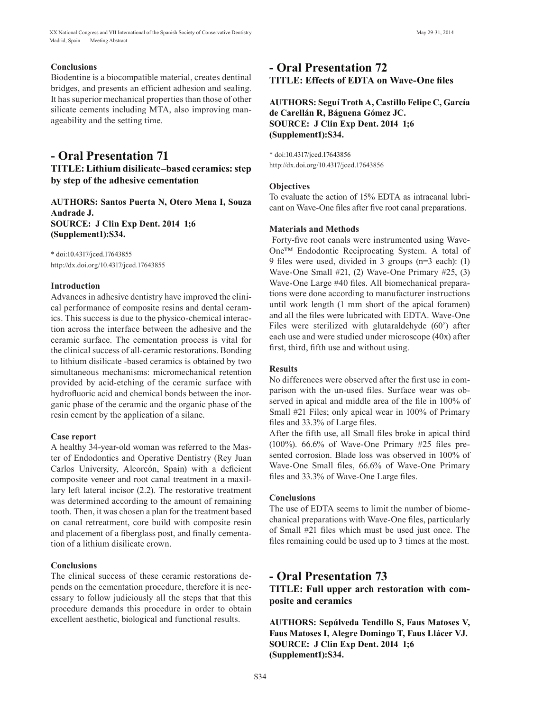#### **Conclusions**

Biodentine is a biocompatible material, creates dentinal bridges, and presents an efficient adhesion and sealing. It has superior mechanical properties than those of other silicate cements including MTA, also improving manageability and the setting time.

## **- Oral Presentation 71 TITLE: Lithium disilicate–based ceramics: step by step of the adhesive cementation**

**AUTHORS: Santos Puerta N, Otero Mena I, Souza Andrade J. SOURCE: J Clin Exp Dent. 2014 1;6 (Supplement1):S34.**

\* doi:10.4317/jced.17643855 http://dx.doi.org/10.4317/jced.17643855

#### **Introduction**

Advances in adhesive dentistry have improved the clinical performance of composite resins and dental ceramics. This success is due to the physico-chemical interaction across the interface between the adhesive and the ceramic surface. The cementation process is vital for the clinical success of all-ceramic restorations. Bonding to lithium disilicate -based ceramics is obtained by two simultaneous mechanisms: micromechanical retention provided by acid-etching of the ceramic surface with hydrofluoric acid and chemical bonds between the inorganic phase of the ceramic and the organic phase of the resin cement by the application of a silane.

#### **Case report**

A healthy 34-year-old woman was referred to the Master of Endodontics and Operative Dentistry (Rey Juan Carlos University, Alcorcón, Spain) with a deficient composite veneer and root canal treatment in a maxillary left lateral incisor (2.2). The restorative treatment was determined according to the amount of remaining tooth. Then, it was chosen a plan for the treatment based on canal retreatment, core build with composite resin and placement of a fiberglass post, and finally cementation of a lithium disilicate crown.

#### **Conclusions**

The clinical success of these ceramic restorations depends on the cementation procedure, therefore it is necessary to follow judiciously all the steps that that this procedure demands this procedure in order to obtain excellent aesthetic, biological and functional results.

## **- Oral Presentation 72 TITLE: Effects of EDTA on Wave-One files**

## **AUTHORS: Seguí Troth A, Castillo Felipe C, García de Carellán R, Báguena Gómez JC. SOURCE: J Clin Exp Dent. 2014 1;6 (Supplement1):S34.**

\* doi:10.4317/jced.17643856 http://dx.doi.org/10.4317/jced.17643856

#### **Objectives**

To evaluate the action of 15% EDTA as intracanal lubricant on Wave-One files after five root canal preparations.

#### **Materials and Methods**

 Forty-five root canals were instrumented using Wave-One™ Endodontic Reciprocating System. A total of 9 files were used, divided in 3 groups (n=3 each): (1) Wave-One Small #21, (2) Wave-One Primary #25, (3) Wave-One Large #40 files. All biomechanical preparations were done according to manufacturer instructions until work length (1 mm short of the apical foramen) and all the files were lubricated with EDTA. Wave-One Files were sterilized with glutaraldehyde (60') after each use and were studied under microscope (40x) after first, third, fifth use and without using.

#### **Results**

No differences were observed after the first use in comparison with the un-used files. Surface wear was observed in apical and middle area of the file in 100% of Small #21 Files; only apical wear in 100% of Primary files and 33.3% of Large files.

After the fifth use, all Small files broke in apical third (100%). 66.6% of Wave-One Primary #25 files presented corrosion. Blade loss was observed in 100% of Wave-One Small files, 66.6% of Wave-One Primary files and 33.3% of Wave-One Large files.

#### **Conclusions**

The use of EDTA seems to limit the number of biomechanical preparations with Wave-One files, particularly of Small #21 files which must be used just once. The files remaining could be used up to 3 times at the most.

## **- Oral Presentation 73**

**TITLE: Full upper arch restoration with composite and ceramics**

**AUTHORS: Sepúlveda Tendillo S, Faus Matoses V, Faus Matoses I, Alegre Domingo T, Faus Llácer VJ. SOURCE: J Clin Exp Dent. 2014 1;6 (Supplement1):S34.**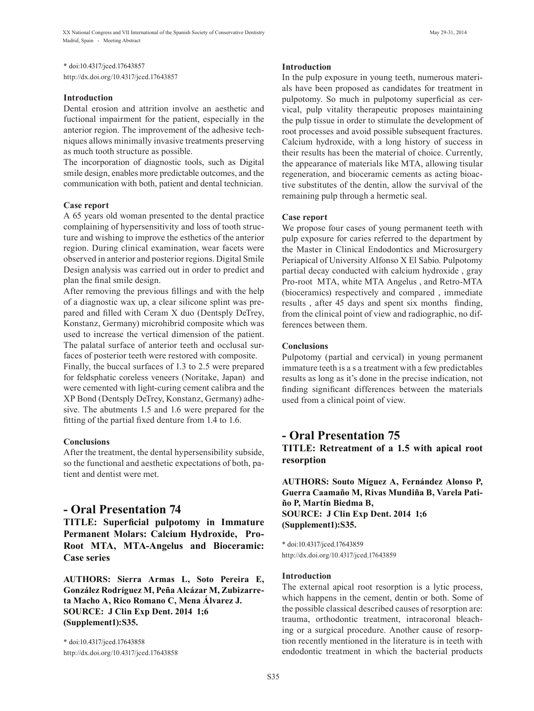\* doi:10.4317/jced.17643857 http://dx.doi.org/10.4317/jced.17643857

#### **Introduction**

Dental erosion and attrition involve an aesthetic and fuctional impairment for the patient, especially in the anterior region. The improvement of the adhesive techniques allows minimally invasive treatments preserving as much tooth structure as possible.

The incorporation of diagnostic tools, such as Digital smile design, enables more predictable outcomes, and the communication with both, patient and dental technician.

## **Case report**

A 65 years old woman presented to the dental practice complaining of hypersensitivity and loss of tooth structure and wishing to improve the esthetics of the anterior region. During clinical examination, wear facets were observed in anterior and posterior regions. Digital Smile Design analysis was carried out in order to predict and plan the final smile design.

After removing the previous fillings and with the help of a diagnostic wax up, a clear silicone splint was prepared and filled with Ceram X duo (Dentsply DeTrey, Konstanz, Germany) microhibrid composite which was used to increase the vertical dimension of the patient. The palatal surface of anterior teeth and occlusal sur-

faces of posterior teeth were restored with composite. Finally, the buccal surfaces of 1.3 to 2.5 were prepared for feldsphatic coreless veneers (Noritake, Japan) and were cemented with light-curing cement calibra and the XP Bond (Dentsply DeTrey, Konstanz, Germany) adhesive. The abutments 1.5 and 1.6 were prepared for the fitting of the partial fixed denture from 1.4 to 1.6.

## **Conclusions**

After the treatment, the dental hypersensibility subside, so the functional and aesthetic expectations of both, patient and dentist were met.

## **- Oral Presentation 74**

**TITLE: Superficial pulpotomy in Immature Permanent Molars: Calcium Hydroxide, Pro-Root MTA, MTA-Angelus and Bioceramic: Case series**

**AUTHORS: Sierra Armas L, Soto Pereira E, González Rodríguez M, Peña Alcázar M, Zubizarreta Macho A, Rico Romano C, Mena Álvarez J. SOURCE: J Clin Exp Dent. 2014 1;6 (Supplement1):S35.**

\* doi:10.4317/jced.17643858 http://dx.doi.org/10.4317/jced.17643858

#### **Introduction**

In the pulp exposure in young teeth, numerous materials have been proposed as candidates for treatment in pulpotomy. So much in pulpotomy superficial as cervical, pulp vitality therapeutic proposes maintaining the pulp tissue in order to stimulate the development of root processes and avoid possible subsequent fractures. Calcium hydroxide, with a long history of success in their results has been the material of choice. Currently, the appearance of materials like MTA, allowing tisular regeneration, and bioceramic cements as acting bioactive substitutes of the dentin, allow the survival of the remaining pulp through a hermetic seal.

### **Case report**

We propose four cases of young permanent teeth with pulp exposure for caries referred to the department by the Master in Clinical Endodontics and Microsurgery Periapical of University Alfonso X El Sabio. Pulpotomy partial decay conducted with calcium hydroxide , gray Pro-root MTA, white MTA Angelus , and Retro-MTA (bioceramics) respectively and compared , immediate results , after 45 days and spent six months finding, from the clinical point of view and radiographic, no differences between them.

## **Conclusions**

Pulpotomy (partial and cervical) in young permanent immature teeth is a s a treatment with a few predictables results as long as it's done in the precise indication, not finding significant differences between the materials used from a clinical point of view.

## **- Oral Presentation 75 TITLE: Retreatment of a 1.5 with apical root resorption**

**AUTHORS: Souto Míguez A, Fernández Alonso P, Guerra Caamaño M, Rivas Mundiña B, Varela Patiño P, Martín Biedma B, SOURCE: J Clin Exp Dent. 2014 1;6 (Supplement1):S35.**

\* doi:10.4317/jced.17643859 http://dx.doi.org/10.4317/jced.17643859

#### **Introduction**

The external apical root resorption is a lytic process, which happens in the cement, dentin or both. Some of the possible classical described causes of resorption are: trauma, orthodontic treatment, intracoronal bleaching or a surgical procedure. Another cause of resorption recently mentioned in the literature is in teeth with endodontic treatment in which the bacterial products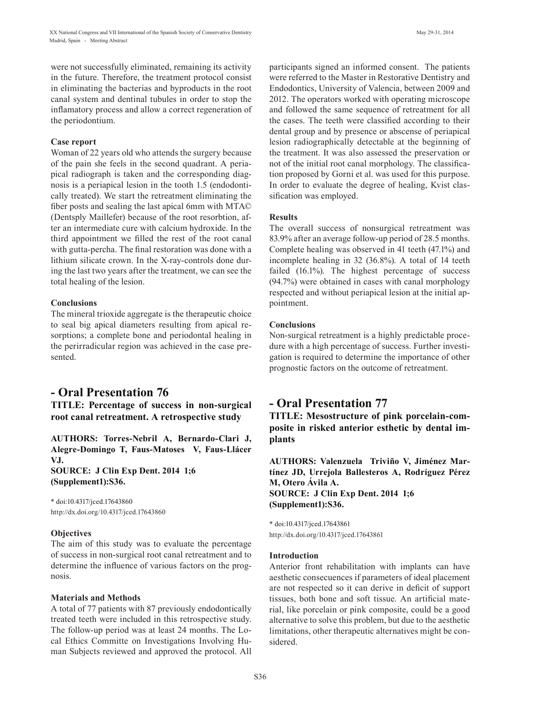were not successfully eliminated, remaining its activity in the future. Therefore, the treatment protocol consist in eliminating the bacterias and byproducts in the root canal system and dentinal tubules in order to stop the inflamatory process and allow a correct regeneration of the periodontium.

#### **Case report**

Woman of 22 years old who attends the surgery because of the pain she feels in the second quadrant. A periapical radiograph is taken and the corresponding diagnosis is a periapical lesion in the tooth 1.5 (endodontically treated). We start the retreatment eliminating the fiber posts and sealing the last apical 6mm with MTA© (Dentsply Maillefer) because of the root resorbtion, after an intermediate cure with calcium hydroxide. In the third appointment we filled the rest of the root canal with gutta-percha. The final restoration was done with a lithium silicate crown. In the X-ray-controls done during the last two years after the treatment, we can see the total healing of the lesion.

#### **Conclusions**

The mineral trioxide aggregate is the therapeutic choice to seal big apical diameters resulting from apical resorptions; a complete bone and periodontal healing in the perirradicular region was achieved in the case presented.

## **- Oral Presentation 76 TITLE: Percentage of success in non-surgical root canal retreatment. A retrospective study**

**AUTHORS: Torres-Nebril A, Bernardo-Clari J, Alegre-Domingo T, Faus-Matoses V, Faus-Llácer VJ.** 

**SOURCE: J Clin Exp Dent. 2014 1;6 (Supplement1):S36.**

\* doi:10.4317/jced.17643860 http://dx.doi.org/10.4317/jced.17643860

#### **Objectives**

The aim of this study was to evaluate the percentage of success in non-surgical root canal retreatment and to determine the influence of various factors on the prognosis.

#### **Materials and Methods**

A total of 77 patients with 87 previously endodontically treated teeth were included in this retrospective study. The follow-up period was at least 24 months. The Local Ethics Committe on Investigations Involving Human Subjects reviewed and approved the protocol. All

participants signed an informed consent. The patients were referred to the Master in Restorative Dentistry and Endodontics, University of Valencia, between 2009 and 2012. The operators worked with operating microscope and followed the same sequence of retreatment for all the cases. The teeth were classified according to their dental group and by presence or abscense of periapical lesion radiographically detectable at the beginning of the treatment. It was also assessed the preservation or not of the initial root canal morphology. The classification proposed by Gorni et al. was used for this purpose. In order to evaluate the degree of healing, Kvist classification was employed.

#### **Results**

The overall success of nonsurgical retreatment was 83.9% after an average follow-up period of 28.5 months. Complete healing was observed in 41 teeth (47.1%) and incomplete healing in 32 (36.8%). A total of 14 teeth failed (16.1%). The highest percentage of success (94.7%) were obtained in cases with canal morphology respected and without periapical lesion at the initial appointment.

#### **Conclusions**

Non-surgical retreatment is a highly predictable procedure with a high percentage of success. Further investigation is required to determine the importance of other prognostic factors on the outcome of retreatment.

## **- Oral Presentation 77**

**TITLE: Mesostructure of pink porcelain-composite in risked anterior esthetic by dental implants**

**AUTHORS: Valenzuela Triviño V, Jiménez Martínez JD, Urrejola Ballesteros A, Rodríguez Pérez M, Otero Ávila A. SOURCE: J Clin Exp Dent. 2014 1;6 (Supplement1):S36.**

\* doi:10.4317/jced.17643861 http://dx.doi.org/10.4317/jced.17643861

#### **Introduction**

Anterior front rehabilitation with implants can have aesthetic consecuences if parameters of ideal placement are not respected so it can derive in deficit of support tissues, both bone and soft tissue. An artificial material, like porcelain or pink composite, could be a good alternative to solve this problem, but due to the aesthetic limitations, other therapeutic alternatives might be considered.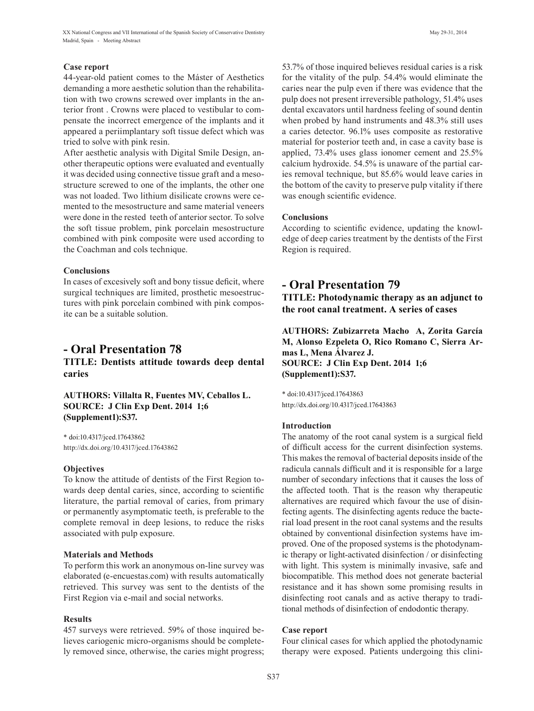## **Case report**

44-year-old patient comes to the Máster of Aesthetics demanding a more aesthetic solution than the rehabilitation with two crowns screwed over implants in the anterior front . Crowns were placed to vestibular to compensate the incorrect emergence of the implants and it appeared a periimplantary soft tissue defect which was tried to solve with pink resin.

After aesthetic analysis with Digital Smile Design, another therapeutic options were evaluated and eventually it was decided using connective tissue graft and a mesostructure screwed to one of the implants, the other one was not loaded. Two lithium disilicate crowns were cemented to the mesostructure and same material veneers were done in the rested teeth of anterior sector. To solve the soft tissue problem, pink porcelain mesostructure combined with pink composite were used according to the Coachman and cols technique.

## **Conclusions**

In cases of excesively soft and bony tissue deficit, where surgical techniques are limited, prosthetic mesoestructures with pink porcelain combined with pink composite can be a suitable solution.

## **- Oral Presentation 78**

**TITLE: Dentists attitude towards deep dental caries**

**AUTHORS: Villalta R, Fuentes MV, Ceballos L. SOURCE: J Clin Exp Dent. 2014 1;6 (Supplement1):S37.**

\* doi:10.4317/jced.17643862 http://dx.doi.org/10.4317/jced.17643862

## **Objectives**

To know the attitude of dentists of the First Region towards deep dental caries, since, according to scientific literature, the partial removal of caries, from primary or permanently asymptomatic teeth, is preferable to the complete removal in deep lesions, to reduce the risks associated with pulp exposure.

## **Materials and Methods**

To perform this work an anonymous on-line survey was elaborated (e-encuestas.com) with results automatically retrieved. This survey was sent to the dentists of the First Region via e-mail and social networks.

## **Results**

457 surveys were retrieved. 59% of those inquired believes cariogenic micro-organisms should be completely removed since, otherwise, the caries might progress; 53.7% of those inquired believes residual caries is a risk for the vitality of the pulp. 54.4% would eliminate the caries near the pulp even if there was evidence that the pulp does not present irreversible pathology, 51.4% uses dental excavators until hardness feeling of sound dentin when probed by hand instruments and 48.3% still uses a caries detector. 96.1% uses composite as restorative material for posterior teeth and, in case a cavity base is applied, 73.4% uses glass ionomer cement and 25.5% calcium hydroxide. 54.5% is unaware of the partial caries removal technique, but 85.6% would leave caries in the bottom of the cavity to preserve pulp vitality if there was enough scientific evidence.

## **Conclusions**

According to scientific evidence, updating the knowledge of deep caries treatment by the dentists of the First Region is required.

## **- Oral Presentation 79 TITLE: Photodynamic therapy as an adjunct to the root canal treatment. A series of cases**

**AUTHORS: Zubizarreta Macho A, Zorita García M, Alonso Ezpeleta O, Rico Romano C, Sierra Armas L, Mena Álvarez J. SOURCE: J Clin Exp Dent. 2014 1;6 (Supplement1):S37.**

\* doi:10.4317/jced.17643863 http://dx.doi.org/10.4317/jced.17643863

## **Introduction**

The anatomy of the root canal system is a surgical field of difficult access for the current disinfection systems. This makes the removal of bacterial deposits inside of the radicula cannals difficult and it is responsible for a large number of secondary infections that it causes the loss of the affected tooth. That is the reason why therapeutic alternatives are required which favour the use of disinfecting agents. The disinfecting agents reduce the bacterial load present in the root canal systems and the results obtained by conventional disinfection systems have improved. One of the proposed systems is the photodynamic therapy or light-activated disinfection / or disinfecting with light. This system is minimally invasive, safe and biocompatible. This method does not generate bacterial resistance and it has shown some promising results in disinfecting root canals and as active therapy to traditional methods of disinfection of endodontic therapy.

## **Case report**

Four clinical cases for which applied the photodynamic therapy were exposed. Patients undergoing this clini